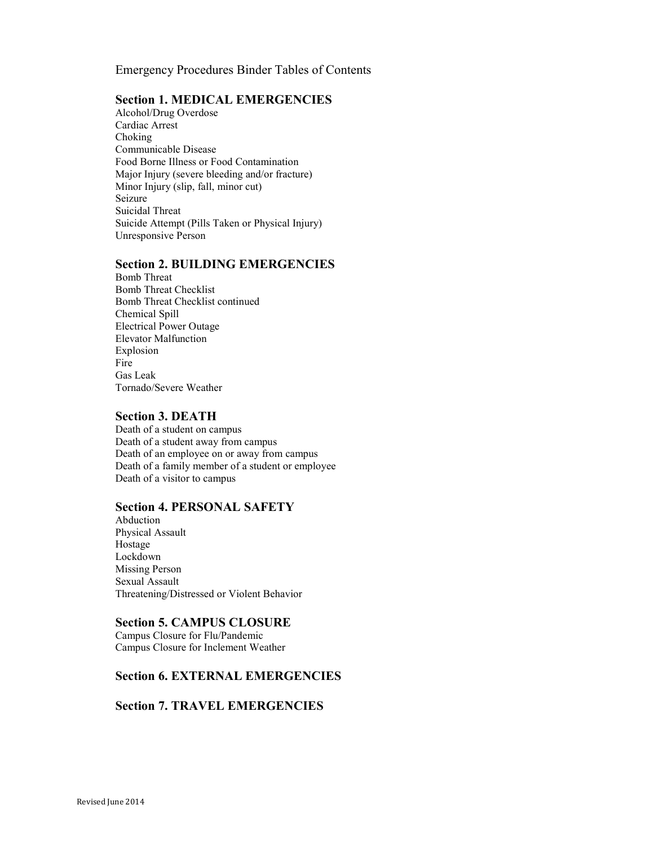Emergency Procedures Binder Tables of Contents

#### Section 1. MEDICAL EMERGENCIES

[Alcohol/Drug Overdose](#page-1-0)  [Cardiac Arrest](#page-2-0)  [Choking](#page-3-0)  [Communicable Disease](#page-4-0)  [Food Borne Illness or Food Contamination](#page-5-0)  [Major Injury \(severe bleeding and/or fracture\)](#page-6-0)  [Minor Injury \(slip, fall, minor cut\)](#page-7-0)  [Seizure](#page-8-0)  [Suicidal Threat](#page-9-0)  [Suicide Attempt \(Pills Taken or Physical Injury\)](#page-10-0)  [Unresponsive Person](#page-11-0)

#### Section 2. BUILDING EMERGENCIES

[Bomb Threat](#page-12-0)  [Bomb Threat Checklist](#page-13-0) [Bomb Threat Checklist continued](#page-14-0) [Chemical Spill](#page-15-0)  [Electrical Power Outage](#page-16-0)  [Elevator Malfunction](#page-17-0)  [Explosion](#page-18-0)  [Fire](#page-19-0)  [Gas Leak](#page-20-0)  [Tornado/Severe Weather](#page-21-0) 

#### Section 3. DEATH

[Death of a student on campus](#page-22-0)  [Death of a student away from campus](#page-23-0)  [Death of an employee on or away from campus](#page-24-0)  [Death of a family member of a student or employee](#page-25-0)  [Death of a visitor to campus](#page-26-0) 

# Section 4. PERSONAL SAFETY

[Abduction](#page-28-0)  [Physical Assault](#page-29-0)  [Hostage](#page-30-0)  [Lockdown](#page-31-0)  [Missing Person](#page-32-0)  [Sexual Assault](#page-33-0)  [Threatening/Distressed or Violent Behavior](#page-34-0) 

#### Section 5. CAMPUS CLOSURE

[Campus Closure for Flu/Pandemic](#page-35-0)  [Campus Closure for Inclement Weather](#page-36-0) 

# [Section 6. EXTERNAL EMERGENCIES](#page-37-0)

#### [Section 7. TRAVEL EMERGENCIES](#page-38-0)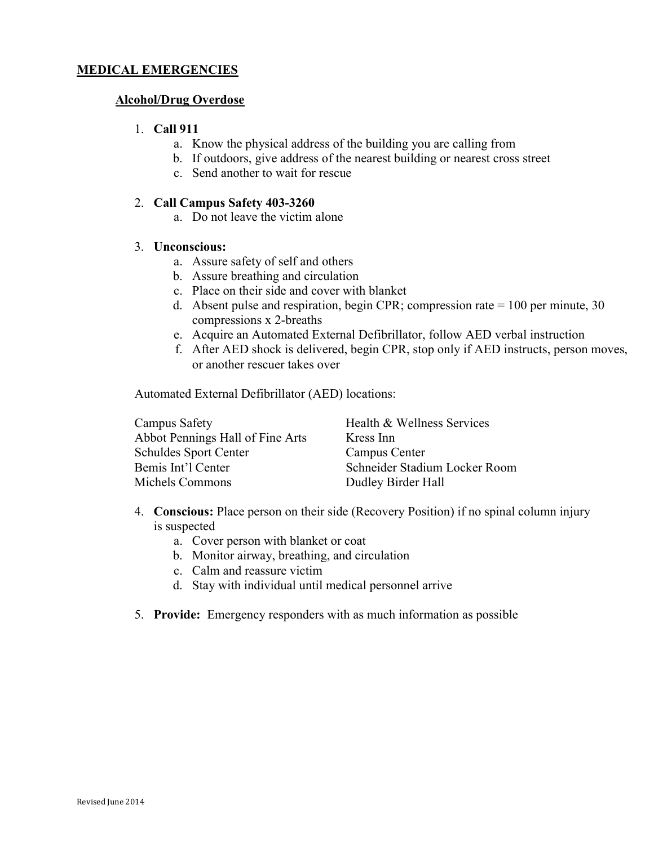#### <span id="page-1-0"></span>Alcohol/Drug Overdose

#### 1. Call 911

- a. Know the physical address of the building you are calling from
- b. If outdoors, give address of the nearest building or nearest cross street
- c. Send another to wait for rescue

#### 2. Call Campus Safety 403-3260

a. Do not leave the victim alone

### 3. Unconscious:

- a. Assure safety of self and others
- b. Assure breathing and circulation
- c. Place on their side and cover with blanket
- d. Absent pulse and respiration, begin CPR; compression rate  $= 100$  per minute, 30 compressions x 2-breaths
- e. Acquire an Automated External Defibrillator, follow AED verbal instruction
- f. After AED shock is delivered, begin CPR, stop only if AED instructs, person moves, or another rescuer takes over

Automated External Defibrillator (AED) locations:

| Campus Safety                    | Health & Wellness Services    |
|----------------------------------|-------------------------------|
| Abbot Pennings Hall of Fine Arts | Kress Inn                     |
| <b>Schuldes Sport Center</b>     | Campus Center                 |
| Bemis Int'l Center               | Schneider Stadium Locker Room |
| Michels Commons                  | Dudley Birder Hall            |

- 4. Conscious: Place person on their side (Recovery Position) if no spinal column injury is suspected
	- a. Cover person with blanket or coat
	- b. Monitor airway, breathing, and circulation
	- c. Calm and reassure victim
	- d. Stay with individual until medical personnel arrive
- 5. Provide: Emergency responders with as much information as possible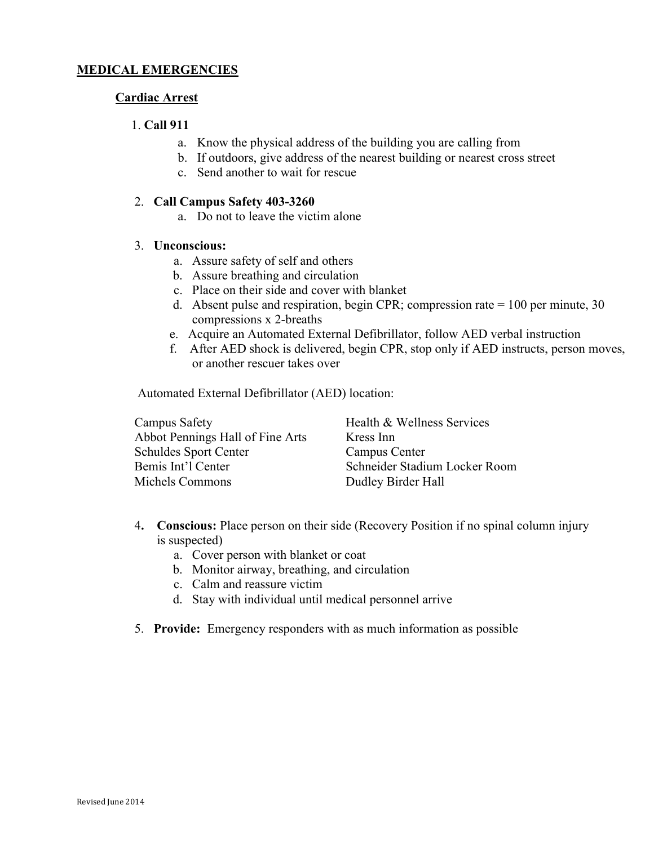# <span id="page-2-0"></span>Cardiac Arrest

#### 1. Call 911

- a. Know the physical address of the building you are calling from
- b. If outdoors, give address of the nearest building or nearest cross street
- c. Send another to wait for rescue

#### 2. Call Campus Safety 403-3260

a. Do not to leave the victim alone

#### 3. Unconscious:

- a. Assure safety of self and others
- b. Assure breathing and circulation
- c. Place on their side and cover with blanket
- d. Absent pulse and respiration, begin CPR; compression rate  $= 100$  per minute, 30 compressions x 2-breaths
- e. Acquire an Automated External Defibrillator, follow AED verbal instruction
- f. After AED shock is delivered, begin CPR, stop only if AED instructs, person moves, or another rescuer takes over

Automated External Defibrillator (AED) location:

| Campus Safety                    | Health & Wellness Services    |
|----------------------------------|-------------------------------|
| Abbot Pennings Hall of Fine Arts | Kress Inn                     |
| <b>Schuldes Sport Center</b>     | Campus Center                 |
| Bemis Int'l Center               | Schneider Stadium Locker Room |
| Michels Commons                  | Dudley Birder Hall            |

- 4. Conscious: Place person on their side (Recovery Position if no spinal column injury is suspected)
	- a. Cover person with blanket or coat
	- b. Monitor airway, breathing, and circulation
	- c. Calm and reassure victim
	- d. Stay with individual until medical personnel arrive
- 5. Provide: Emergency responders with as much information as possible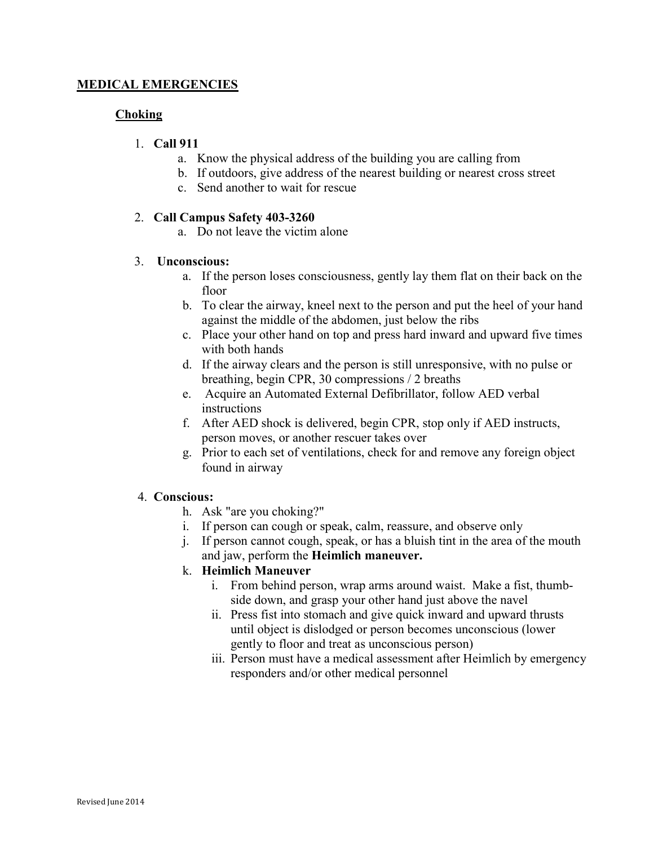# <span id="page-3-0"></span>Choking

# 1. Call 911

- a. Know the physical address of the building you are calling from
- b. If outdoors, give address of the nearest building or nearest cross street
- c. Send another to wait for rescue

# 2. Call Campus Safety 403-3260

a. Do not leave the victim alone

# 3. Unconscious:

- a. If the person loses consciousness, gently lay them flat on their back on the floor
- b. To clear the airway, kneel next to the person and put the heel of your hand against the middle of the abdomen, just below the ribs
- c. Place your other hand on top and press hard inward and upward five times with both hands
- d. If the airway clears and the person is still unresponsive, with no pulse or breathing, begin CPR, 30 compressions / 2 breaths
- e. Acquire an Automated External Defibrillator, follow AED verbal instructions
- f. After AED shock is delivered, begin CPR, stop only if AED instructs, person moves, or another rescuer takes over
- g. Prior to each set of ventilations, check for and remove any foreign object found in airway

# 4. Conscious:

- h. Ask "are you choking?"
- i. If person can cough or speak, calm, reassure, and observe only
- j. If person cannot cough, speak, or has a bluish tint in the area of the mouth and jaw, perform the Heimlich maneuver.

# k. Heimlich Maneuver

- i. From behind person, wrap arms around waist. Make a fist, thumbside down, and grasp your other hand just above the navel
- ii. Press fist into stomach and give quick inward and upward thrusts until object is dislodged or person becomes unconscious (lower gently to floor and treat as unconscious person)
- iii. Person must have a medical assessment after Heimlich by emergency responders and/or other medical personnel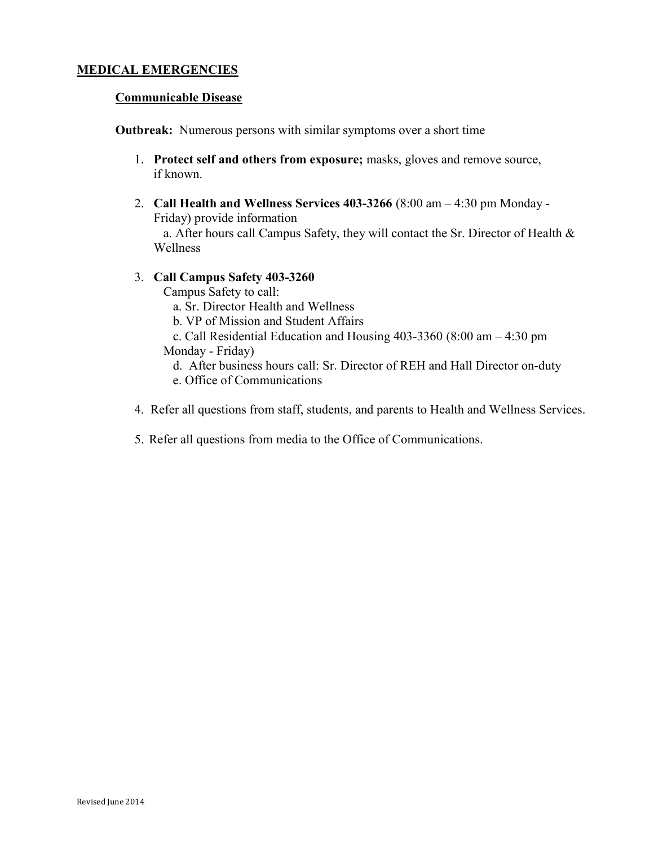#### <span id="page-4-0"></span>Communicable Disease

Outbreak: Numerous persons with similar symptoms over a short time

- 1. Protect self and others from exposure; masks, gloves and remove source, if known.
- 2. Call Health and Wellness Services 403-3266 (8:00 am 4:30 pm Monday Friday) provide information

 a. After hours call Campus Safety, they will contact the Sr. Director of Health & Wellness

3. Call Campus Safety 403-3260

Campus Safety to call:

- a. Sr. Director Health and Wellness
- b. VP of Mission and Student Affairs
- c. Call Residential Education and Housing 403-3360 (8:00 am 4:30 pm Monday - Friday)
	- d. After business hours call: Sr. Director of REH and Hall Director on-duty
	- e. Office of Communications
- 4. Refer all questions from staff, students, and parents to Health and Wellness Services.
- 5. Refer all questions from media to the Office of Communications.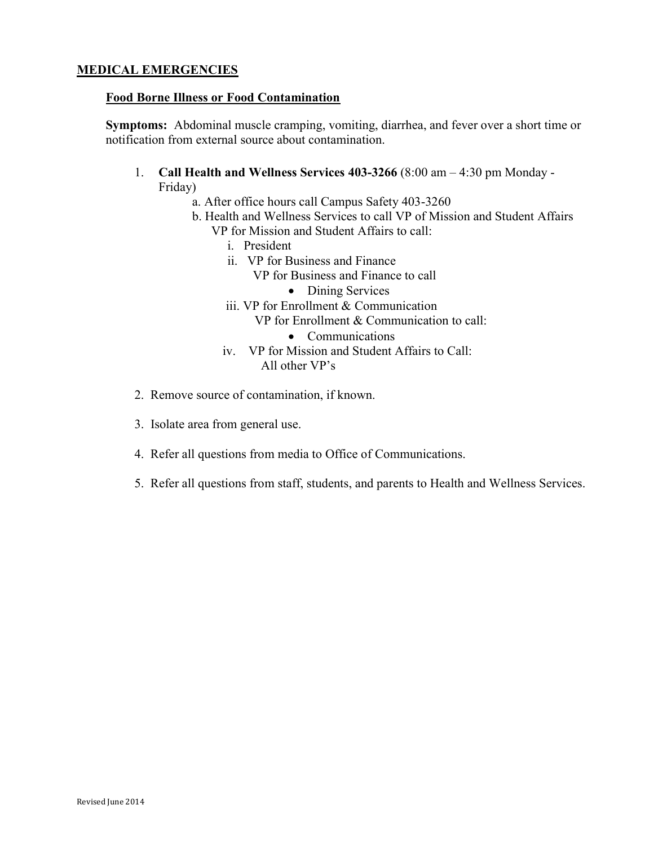### <span id="page-5-0"></span>Food Borne Illness or Food Contamination

Symptoms: Abdominal muscle cramping, vomiting, diarrhea, and fever over a short time or notification from external source about contamination.

- 1. Call Health and Wellness Services 403-3266 (8:00 am 4:30 pm Monday Friday)
	- a. After office hours call Campus Safety 403-3260
	- b. Health and Wellness Services to call VP of Mission and Student Affairs VP for Mission and Student Affairs to call:
		- i. President
		- ii. VP for Business and Finance
			- VP for Business and Finance to call
				- Dining Services
		- iii. VP for Enrollment & Communication

VP for Enrollment & Communication to call:

- Communications
- iv. VP for Mission and Student Affairs to Call: All other VP's
- 2. Remove source of contamination, if known.
- 3. Isolate area from general use.
- 4. Refer all questions from media to Office of Communications.
- 5. Refer all questions from staff, students, and parents to Health and Wellness Services.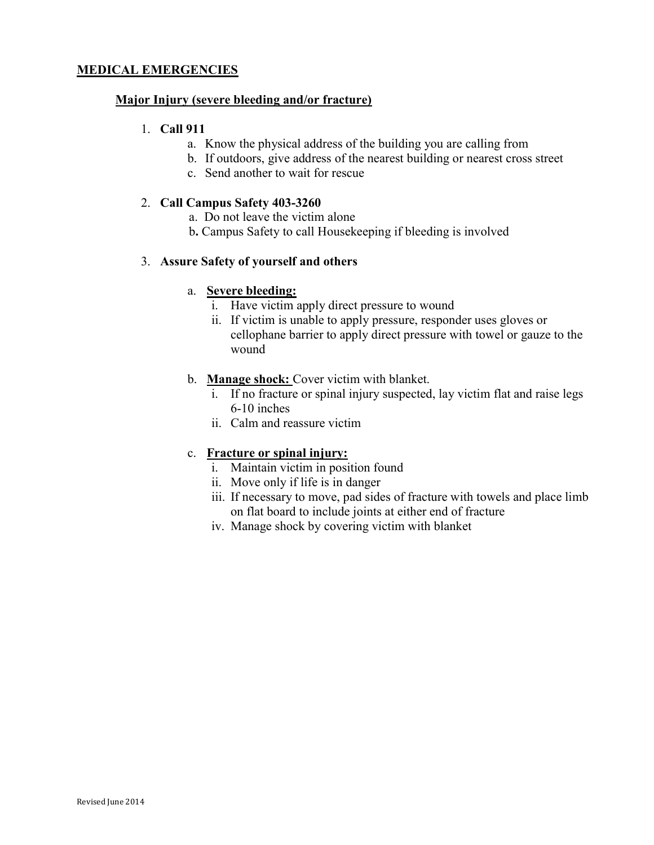### <span id="page-6-0"></span>Major Injury (severe bleeding and/or fracture)

#### 1. Call 911

- a. Know the physical address of the building you are calling from
- b. If outdoors, give address of the nearest building or nearest cross street
- c. Send another to wait for rescue

#### 2. Call Campus Safety 403-3260

- a. Do not leave the victim alone
- b. Campus Safety to call Housekeeping if bleeding is involved

#### 3. Assure Safety of yourself and others

#### a. Severe bleeding:

- i. Have victim apply direct pressure to wound
- ii. If victim is unable to apply pressure, responder uses gloves or cellophane barrier to apply direct pressure with towel or gauze to the wound

#### b. Manage shock: Cover victim with blanket.

- i. If no fracture or spinal injury suspected, lay victim flat and raise legs 6-10 inches
- ii. Calm and reassure victim

# c. Fracture or spinal injury:

- i. Maintain victim in position found
- ii. Move only if life is in danger
- iii. If necessary to move, pad sides of fracture with towels and place limb on flat board to include joints at either end of fracture
- iv. Manage shock by covering victim with blanket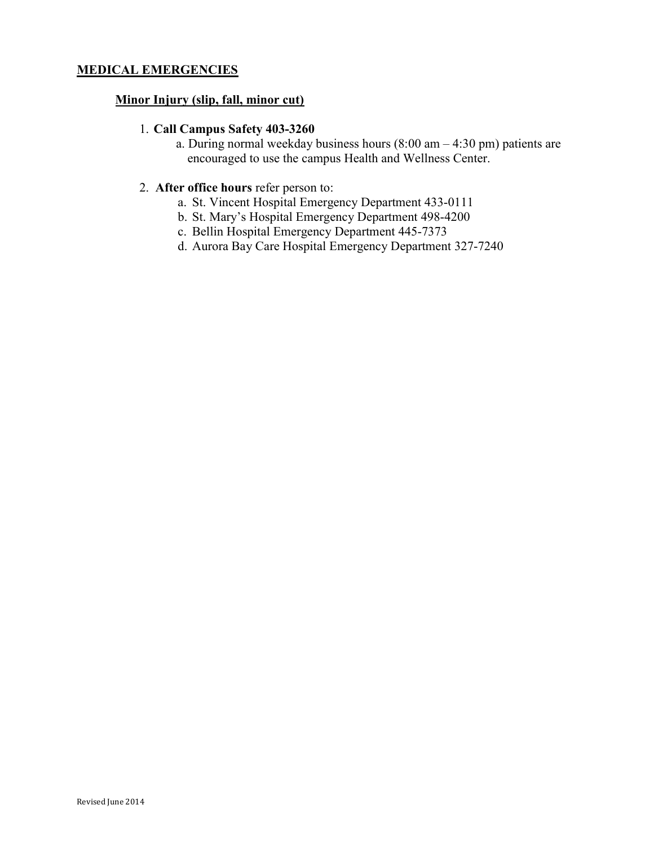### <span id="page-7-0"></span>Minor Injury (slip, fall, minor cut)

#### 1. Call Campus Safety 403-3260

 a. During normal weekday business hours (8:00 am – 4:30 pm) patients are encouraged to use the campus Health and Wellness Center.

# 2. After office hours refer person to:

- a. St. Vincent Hospital Emergency Department 433-0111
- b. St. Mary's Hospital Emergency Department 498-4200
- c. Bellin Hospital Emergency Department 445-7373
- d. Aurora Bay Care Hospital Emergency Department 327-7240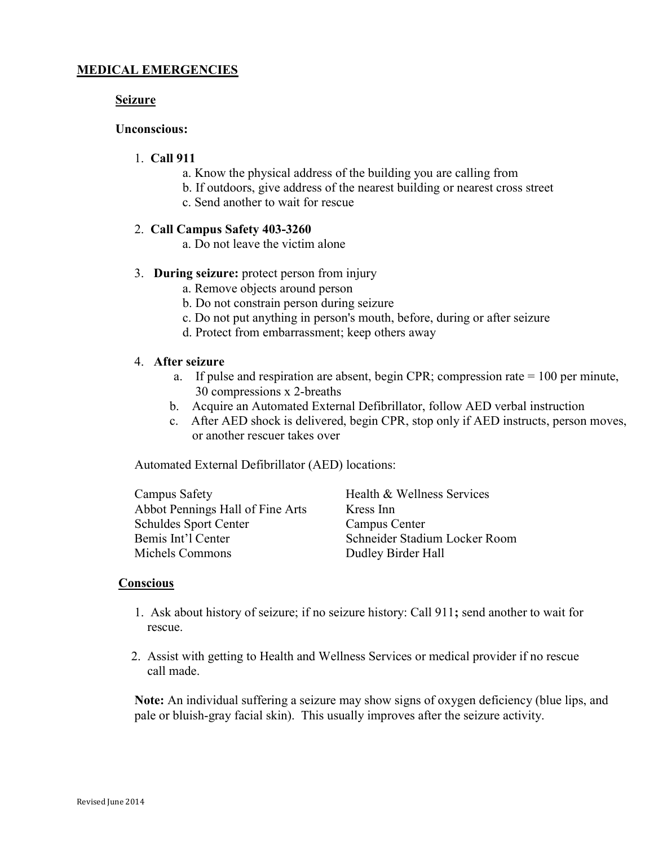#### <span id="page-8-0"></span>Seizure

#### Unconscious:

# 1. Call 911

- a. Know the physical address of the building you are calling from
- b. If outdoors, give address of the nearest building or nearest cross street
- c. Send another to wait for rescue

#### 2. Call Campus Safety 403-3260

a. Do not leave the victim alone

#### 3. During seizure: protect person from injury

- a. Remove objects around person
- b. Do not constrain person during seizure
- c. Do not put anything in person's mouth, before, during or after seizure
- d. Protect from embarrassment; keep others away

#### 4. After seizure

- a. If pulse and respiration are absent, begin CPR; compression rate = 100 per minute, 30 compressions x 2-breaths
- b. Acquire an Automated External Defibrillator, follow AED verbal instruction
- c. After AED shock is delivered, begin CPR, stop only if AED instructs, person moves, or another rescuer takes over

Automated External Defibrillator (AED) locations:

| Campus Safety                    | Health & Wellness Services    |
|----------------------------------|-------------------------------|
| Abbot Pennings Hall of Fine Arts | Kress Inn                     |
| <b>Schuldes Sport Center</b>     | Campus Center                 |
| Bemis Int'l Center               | Schneider Stadium Locker Room |
| Michels Commons                  | Dudley Birder Hall            |

#### **Conscious**

- 1. Ask about history of seizure; if no seizure history: Call 911; send another to wait for rescue.
- 2. Assist with getting to Health and Wellness Services or medical provider if no rescue call made.

 Note: An individual suffering a seizure may show signs of oxygen deficiency (blue lips, and pale or bluish-gray facial skin). This usually improves after the seizure activity.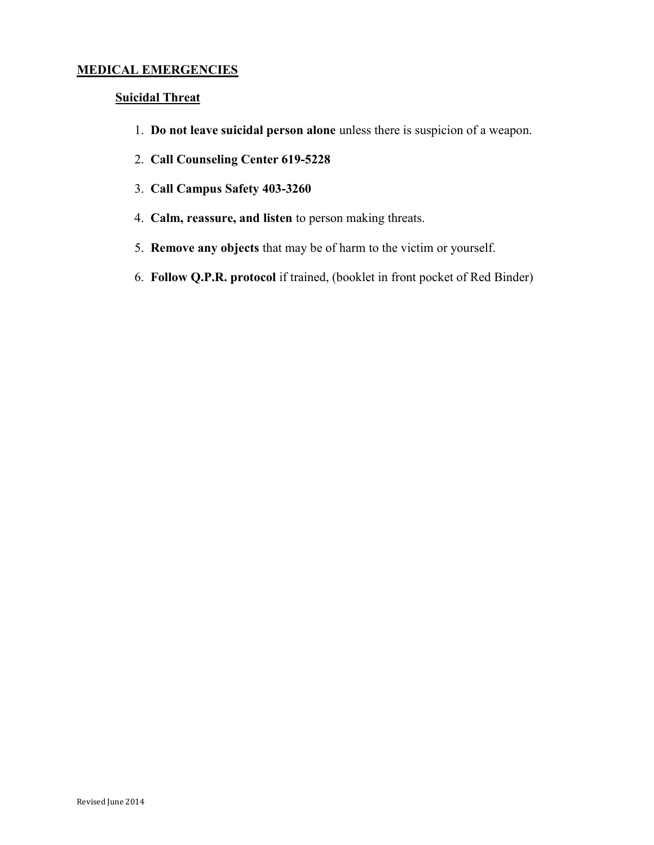# <span id="page-9-0"></span>Suicidal Threat

- 1. Do not leave suicidal person alone unless there is suspicion of a weapon.
- 2. Call Counseling Center 619-5228
- 3. Call Campus Safety 403-3260
- 4. Calm, reassure, and listen to person making threats.
- 5. Remove any objects that may be of harm to the victim or yourself.
- 6. Follow Q.P.R. protocol if trained, (booklet in front pocket of Red Binder)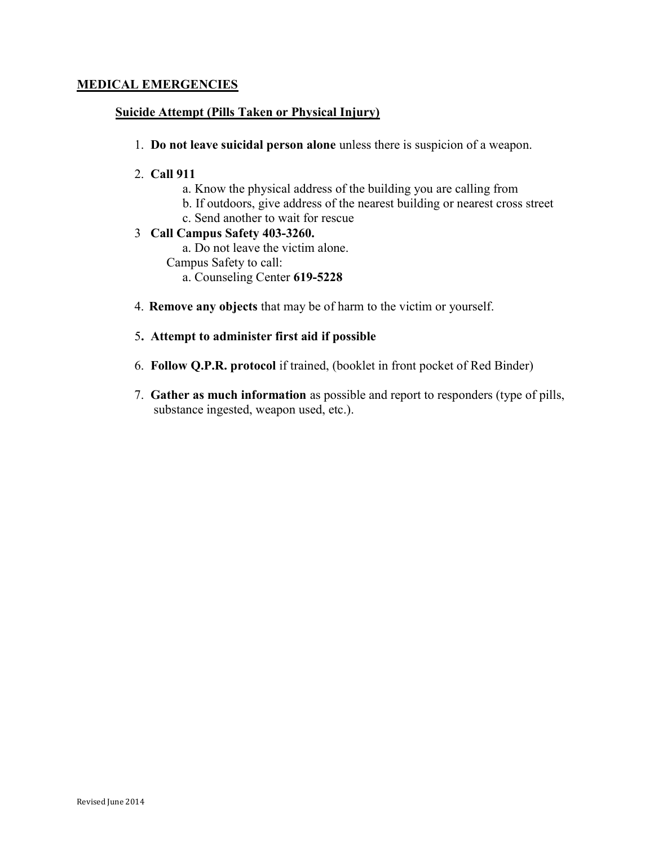# <span id="page-10-0"></span>Suicide Attempt (Pills Taken or Physical Injury)

1. Do not leave suicidal person alone unless there is suspicion of a weapon.

### 2. Call 911

- a. Know the physical address of the building you are calling from
- b. If outdoors, give address of the nearest building or nearest cross street
- c. Send another to wait for rescue

# 3 Call Campus Safety 403-3260.

a. Do not leave the victim alone.

Campus Safety to call:

a. Counseling Center 619-5228

4. Remove any objects that may be of harm to the victim or yourself.

# 5. Attempt to administer first aid if possible

- 6. Follow Q.P.R. protocol if trained, (booklet in front pocket of Red Binder)
- 7. Gather as much information as possible and report to responders (type of pills, substance ingested, weapon used, etc.).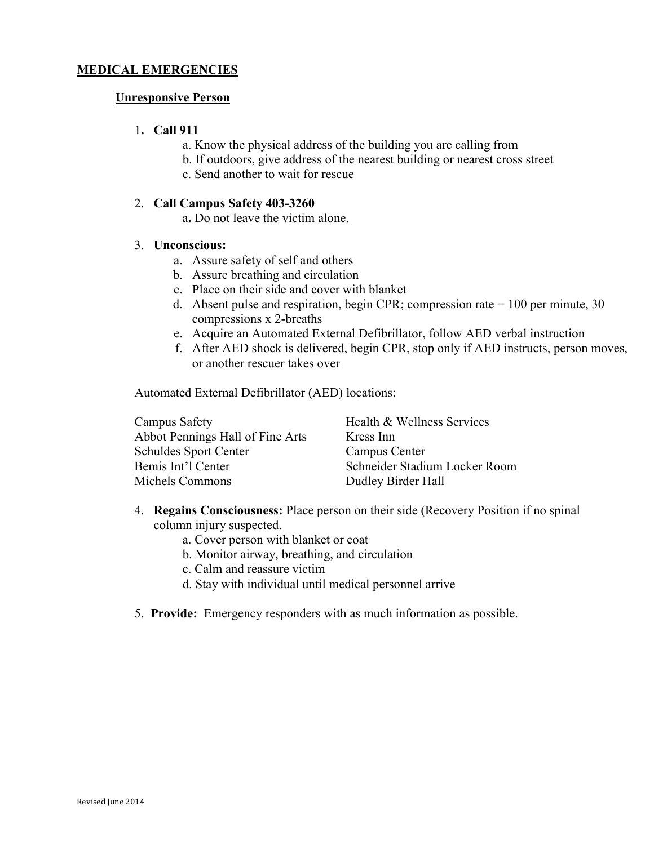### <span id="page-11-0"></span>Unresponsive Person

#### 1. Call 911

- a. Know the physical address of the building you are calling from
- b. If outdoors, give address of the nearest building or nearest cross street
- c. Send another to wait for rescue

#### 2. Call Campus Safety 403-3260

a. Do not leave the victim alone.

#### 3. Unconscious:

- a. Assure safety of self and others
- b. Assure breathing and circulation
- c. Place on their side and cover with blanket
- d. Absent pulse and respiration, begin CPR; compression rate  $= 100$  per minute, 30 compressions x 2-breaths
- e. Acquire an Automated External Defibrillator, follow AED verbal instruction
- f. After AED shock is delivered, begin CPR, stop only if AED instructs, person moves, or another rescuer takes over

Automated External Defibrillator (AED) locations:

| Campus Safety                    | Health & Wellness Services    |
|----------------------------------|-------------------------------|
| Abbot Pennings Hall of Fine Arts | Kress Inn                     |
| <b>Schuldes Sport Center</b>     | Campus Center                 |
| Bemis Int'l Center               | Schneider Stadium Locker Room |
| Michels Commons                  | Dudley Birder Hall            |

- 4. Regains Consciousness: Place person on their side (Recovery Position if no spinal column injury suspected.
	- a. Cover person with blanket or coat
	- b. Monitor airway, breathing, and circulation
	- c. Calm and reassure victim
	- d. Stay with individual until medical personnel arrive
- 5. Provide: Emergency responders with as much information as possible.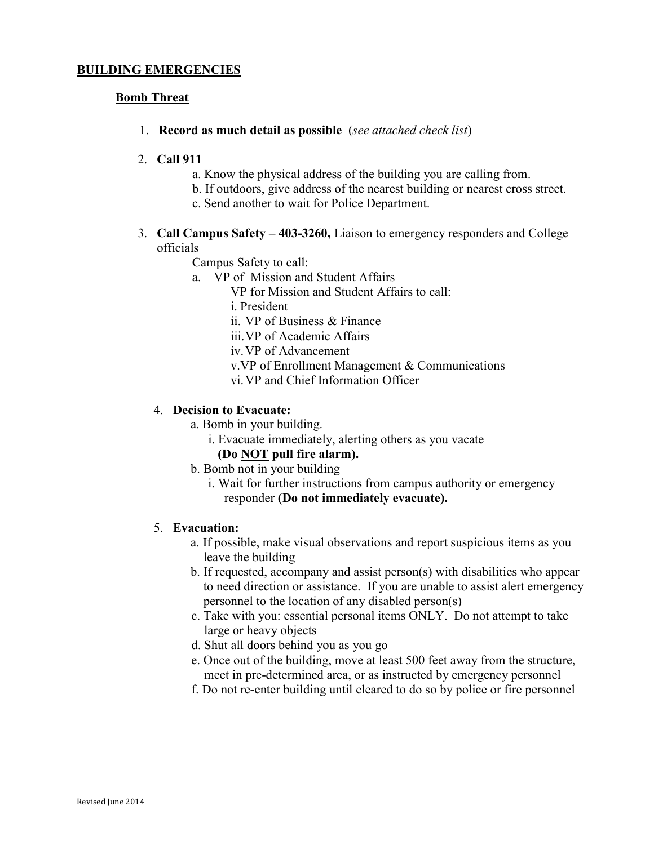#### <span id="page-12-0"></span>Bomb Threat

1. Record as much detail as possible (see attached check list)

#### 2. Call 911

- a. Know the physical address of the building you are calling from.
- b. If outdoors, give address of the nearest building or nearest cross street.
- c. Send another to wait for Police Department.
- 3. Call Campus Safety 403-3260, Liaison to emergency responders and College officials

Campus Safety to call:

- a. VP of Mission and Student Affairs
	- VP for Mission and Student Affairs to call:
	- i. President
	- ii. VP of Business & Finance
	- iii.VP of Academic Affairs
	- iv.VP of Advancement
	- v.VP of Enrollment Management & Communications
	- vi.VP and Chief Information Officer

#### 4. Decision to Evacuate:

- a. Bomb in your building.
	- i. Evacuate immediately, alerting others as you vacate
	- (Do NOT pull fire alarm).
- b. Bomb not in your building
	- i. Wait for further instructions from campus authority or emergency responder (Do not immediately evacuate).

#### 5. Evacuation:

- a. If possible, make visual observations and report suspicious items as you leave the building
- b. If requested, accompany and assist person(s) with disabilities who appear to need direction or assistance. If you are unable to assist alert emergency personnel to the location of any disabled person(s)
- c. Take with you: essential personal items ONLY. Do not attempt to take large or heavy objects
- d. Shut all doors behind you as you go
- e. Once out of the building, move at least 500 feet away from the structure, meet in pre-determined area, or as instructed by emergency personnel
- f. Do not re-enter building until cleared to do so by police or fire personnel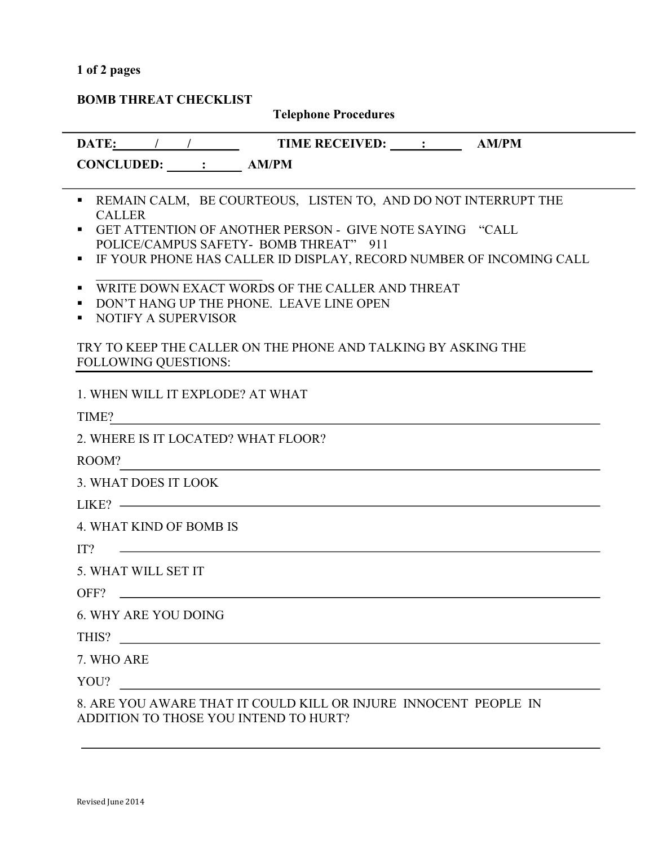# <span id="page-13-0"></span>1 of 2 pages

# BOMB THREAT CHECKLIST

# Telephone Procedures

|                                       | DATE: / / / TIME RECEIVED: _ : _ AM/PM                                                                                                                                                                                                      |
|---------------------------------------|---------------------------------------------------------------------------------------------------------------------------------------------------------------------------------------------------------------------------------------------|
| CONCLUDED: : : AM/PM                  |                                                                                                                                                                                                                                             |
| п.<br><b>CALLER</b><br>٠<br>п         | REMAIN CALM, BE COURTEOUS, LISTEN TO, AND DO NOT INTERRUPT THE<br>GET ATTENTION OF ANOTHER PERSON - GIVE NOTE SAYING "CALL<br>POLICE/CAMPUS SAFETY- BOMB THREAT" 911<br>IF YOUR PHONE HAS CALLER ID DISPLAY, RECORD NUMBER OF INCOMING CALL |
| ٠<br>п<br>NOTIFY A SUPERVISOR<br>٠    | WRITE DOWN EXACT WORDS OF THE CALLER AND THREAT<br>DON'T HANG UP THE PHONE. LEAVE LINE OPEN                                                                                                                                                 |
| <b>FOLLOWING QUESTIONS:</b>           | TRY TO KEEP THE CALLER ON THE PHONE AND TALKING BY ASKING THE                                                                                                                                                                               |
| 1. WHEN WILL IT EXPLODE? AT WHAT      |                                                                                                                                                                                                                                             |
| TIME?                                 | <u> 1989 - John Stein, Amerikaansk politiker (</u>                                                                                                                                                                                          |
| 2. WHERE IS IT LOCATED? WHAT FLOOR?   |                                                                                                                                                                                                                                             |
| ROOM?                                 |                                                                                                                                                                                                                                             |
| 3. WHAT DOES IT LOOK                  |                                                                                                                                                                                                                                             |
|                                       | $LIKE?$ $\longrightarrow$                                                                                                                                                                                                                   |
| 4. WHAT KIND OF BOMB IS               |                                                                                                                                                                                                                                             |
| IT?                                   | <u> 1989 - Johann Barbara, martin amerikan personal (</u>                                                                                                                                                                                   |
| 5. WHAT WILL SET IT                   |                                                                                                                                                                                                                                             |
| OFF?                                  |                                                                                                                                                                                                                                             |
| <b>6. WHY ARE YOU DOING</b>           |                                                                                                                                                                                                                                             |
| THIS?                                 |                                                                                                                                                                                                                                             |
| 7. WHO ARE                            |                                                                                                                                                                                                                                             |
| YOU?                                  | <u> 1980 - Jan Samuel Barbara, margaret e populari e populari e populari e populari e populari e populari e popu</u>                                                                                                                        |
| ADDITION TO THOSE YOU INTEND TO HURT? | 8. ARE YOU AWARE THAT IT COULD KILL OR INJURE INNOCENT PEOPLE IN                                                                                                                                                                            |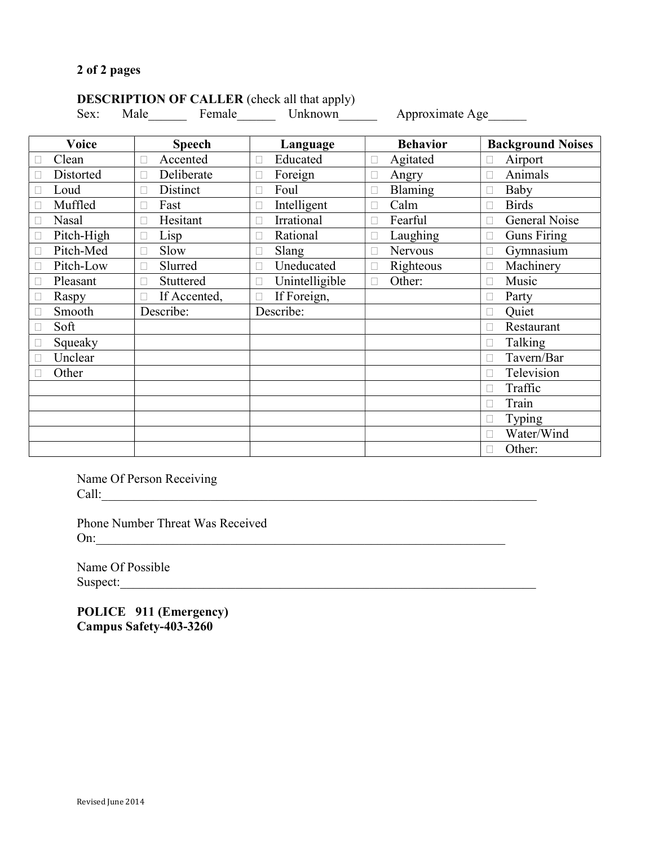# <span id="page-14-0"></span>DESCRIPTION OF CALLER (check all that apply)

Sex: Male Female Unknown Approximate Age

| <b>Voice</b> | <b>Speech</b>   | Language                 | <b>Behavior</b> | <b>Background Noises</b> |
|--------------|-----------------|--------------------------|-----------------|--------------------------|
| Clean        | Accented        | Educated<br>П            | Agitated        | Airport                  |
| Distorted    | Deliberate<br>н | Foreign<br>$\Box$        | Angry<br>н      | Animals<br>u             |
| Loud         | Distinct<br>Н   | Foul<br>П                | Blaming<br>L    | Baby<br>$\Box$           |
| Muffled      | Fast            | Intelligent<br>П         | Calm            | <b>Birds</b><br>П        |
| <b>Nasal</b> | Hesitant<br>н   | Irrational               | Fearful         | General Noise<br>п       |
| Pitch-High   | Lisp            | Rational                 | Laughing        | <b>Guns Firing</b>       |
| Pitch-Med    | Slow            | Slang<br>н               | Nervous         | Gymnasium<br>н           |
| Pitch-Low    | Slurred<br>н    | Uneducated<br>П          | Righteous       | Machinery<br>П           |
| Pleasant     | Stuttered<br>П  | Unintelligible<br>$\Box$ | Other:<br>н     | Music<br>u               |
| Raspy        | If Accented,    | If Foreign,<br>п         |                 | Party<br>П               |
| Smooth       | Describe:       | Describe:                |                 | Quiet                    |
| Soft         |                 |                          |                 | Restaurant<br>П          |
| Squeaky      |                 |                          |                 | Talking<br>$\Box$        |
| Unclear      |                 |                          |                 | Tavern/Bar<br>П          |
| Other        |                 |                          |                 | Television<br>П          |
|              |                 |                          |                 | Traffic<br>□             |
|              |                 |                          |                 | Train<br>П               |
|              |                 |                          |                 | Typing                   |
|              |                 |                          |                 | Water/Wind<br>п          |
|              |                 |                          |                 | Other:<br>П              |

Name Of Person Receiving Call:\_\_\_\_\_\_\_\_\_\_\_\_\_\_\_\_\_\_\_\_\_\_\_\_\_\_\_\_\_\_\_\_\_\_\_\_\_\_\_\_\_\_\_\_\_\_\_\_\_\_\_\_\_\_\_\_\_\_\_\_\_\_\_\_\_\_\_\_

Phone Number Threat Was Received On:\_\_\_\_\_\_\_\_\_\_\_\_\_\_\_\_\_\_\_\_\_\_\_\_\_\_\_\_\_\_\_\_\_\_\_\_\_\_\_\_\_\_\_\_\_\_\_\_\_\_\_\_\_\_\_\_\_\_\_\_\_\_\_\_

Name Of Possible Suspect:

POLICE 911 (Emergency) Campus Safety-403-3260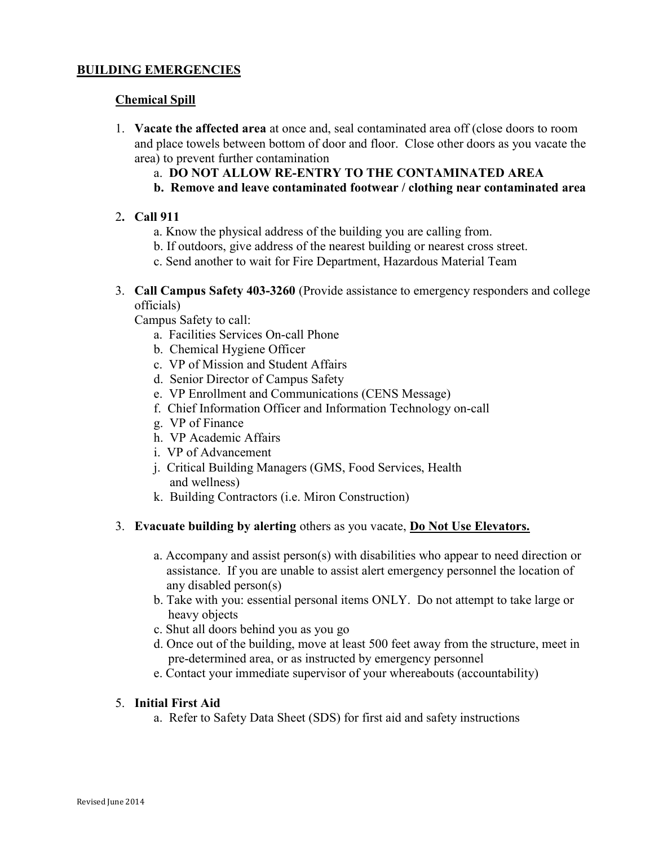# <span id="page-15-0"></span>Chemical Spill

- 1. Vacate the affected area at once and, seal contaminated area off (close doors to room and place towels between bottom of door and floor. Close other doors as you vacate the area) to prevent further contamination
	- a. DO NOT ALLOW RE-ENTRY TO THE CONTAMINATED AREA
	- b. Remove and leave contaminated footwear / clothing near contaminated area

# 2. Call 911

- a. Know the physical address of the building you are calling from.
- b. If outdoors, give address of the nearest building or nearest cross street.
- c. Send another to wait for Fire Department, Hazardous Material Team
- 3. Call Campus Safety 403-3260 (Provide assistance to emergency responders and college officials)

Campus Safety to call:

- a. Facilities Services On-call Phone
- b. Chemical Hygiene Officer
- c. VP of Mission and Student Affairs
- d. Senior Director of Campus Safety
- e. VP Enrollment and Communications (CENS Message)
- f. Chief Information Officer and Information Technology on-call
- g. VP of Finance
- h. VP Academic Affairs
- i. VP of Advancement
- j. Critical Building Managers (GMS, Food Services, Health and wellness)
- k. Building Contractors (i.e. Miron Construction)

#### 3. Evacuate building by alerting others as you vacate, **Do Not Use Elevators.**

- a. Accompany and assist person(s) with disabilities who appear to need direction or assistance. If you are unable to assist alert emergency personnel the location of any disabled person(s)
- b. Take with you: essential personal items ONLY. Do not attempt to take large or heavy objects
- c. Shut all doors behind you as you go
- d. Once out of the building, move at least 500 feet away from the structure, meet in pre-determined area, or as instructed by emergency personnel
- e. Contact your immediate supervisor of your whereabouts (accountability)

#### 5. Initial First Aid

a. Refer to Safety Data Sheet (SDS) for first aid and safety instructions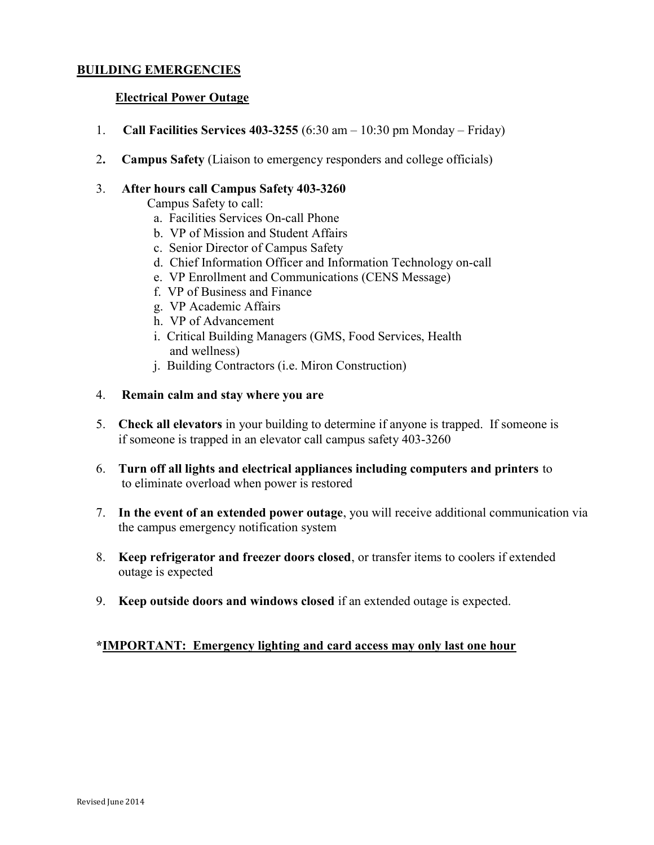# <span id="page-16-0"></span>Electrical Power Outage

- 1. Call Facilities Services 403-3255 (6:30 am  $-10:30$  pm Monday Friday)
- 2. Campus Safety (Liaison to emergency responders and college officials)

#### 3. After hours call Campus Safety 403-3260

Campus Safety to call:

- a. Facilities Services On-call Phone
- b. VP of Mission and Student Affairs
- c. Senior Director of Campus Safety
- d. Chief Information Officer and Information Technology on-call
- e. VP Enrollment and Communications (CENS Message)
- f. VP of Business and Finance
- g. VP Academic Affairs
- h. VP of Advancement
- i. Critical Building Managers (GMS, Food Services, Health and wellness)
- j. Building Contractors (i.e. Miron Construction)
- 4. Remain calm and stay where you are
- 5. Check all elevators in your building to determine if anyone is trapped. If someone is if someone is trapped in an elevator call campus safety 403-3260
- 6. Turn off all lights and electrical appliances including computers and printers to to eliminate overload when power is restored
- 7. In the event of an extended power outage, you will receive additional communication via the campus emergency notification system
- 8. Keep refrigerator and freezer doors closed, or transfer items to coolers if extended outage is expected
- 9. Keep outside doors and windows closed if an extended outage is expected.

# \*IMPORTANT: Emergency lighting and card access may only last one hour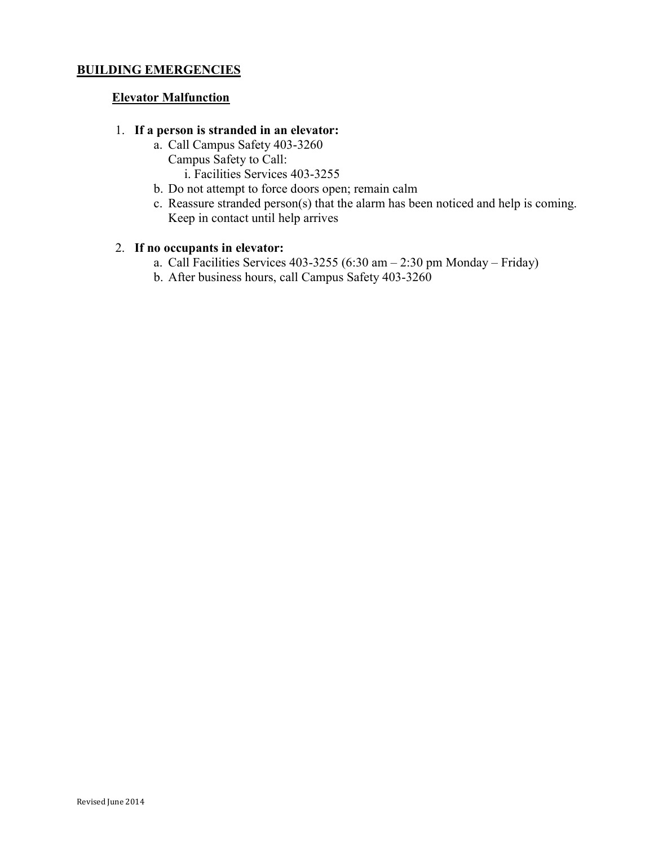# <span id="page-17-0"></span>Elevator Malfunction

### 1. If a person is stranded in an elevator:

- a. Call Campus Safety 403-3260 Campus Safety to Call: i. Facilities Services 403-3255
- b. Do not attempt to force doors open; remain calm
- c. Reassure stranded person(s) that the alarm has been noticed and help is coming. Keep in contact until help arrives

# 2. If no occupants in elevator:

- a. Call Facilities Services 403-3255 (6:30 am  $-$  2:30 pm Monday Friday)
- b. After business hours, call Campus Safety 403-3260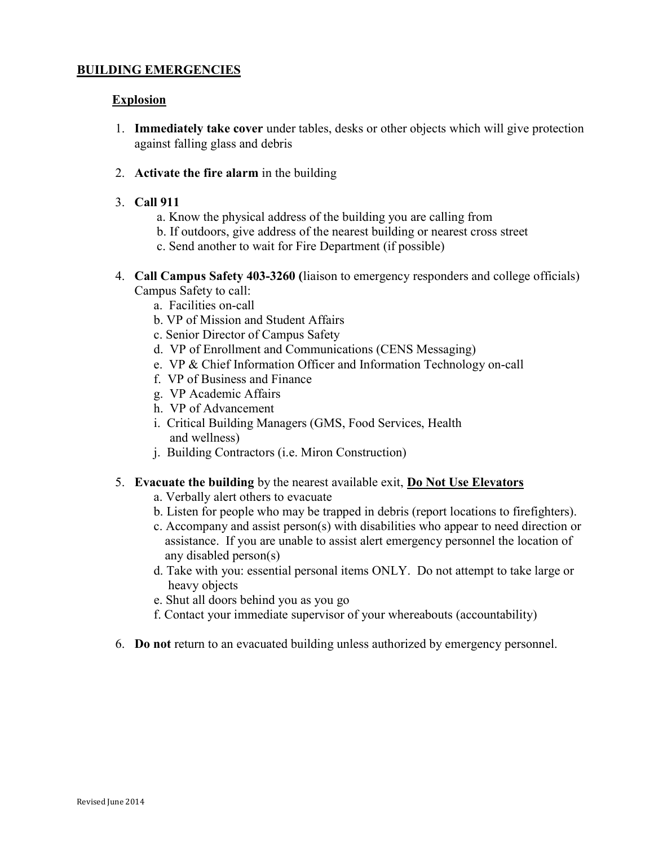# <span id="page-18-0"></span>Explosion

- 1. Immediately take cover under tables, desks or other objects which will give protection against falling glass and debris
- 2. Activate the fire alarm in the building
- 3. Call 911
	- a. Know the physical address of the building you are calling from
	- b. If outdoors, give address of the nearest building or nearest cross street
	- c. Send another to wait for Fire Department (if possible)
- 4. Call Campus Safety 403-3260 (liaison to emergency responders and college officials) Campus Safety to call:
	- a. Facilities on-call
	- b. VP of Mission and Student Affairs
	- c. Senior Director of Campus Safety
	- d. VP of Enrollment and Communications (CENS Messaging)
	- e. VP & Chief Information Officer and Information Technology on-call
	- f. VP of Business and Finance
	- g. VP Academic Affairs
	- h. VP of Advancement
	- i. Critical Building Managers (GMS, Food Services, Health and wellness)
	- j. Building Contractors (i.e. Miron Construction)
- 5. Evacuate the building by the nearest available exit, Do Not Use Elevators
	- a. Verbally alert others to evacuate
	- b. Listen for people who may be trapped in debris (report locations to firefighters).
	- c. Accompany and assist person(s) with disabilities who appear to need direction or assistance. If you are unable to assist alert emergency personnel the location of any disabled person(s)
	- d. Take with you: essential personal items ONLY. Do not attempt to take large or heavy objects
	- e. Shut all doors behind you as you go
	- f. Contact your immediate supervisor of your whereabouts (accountability)
- 6. Do not return to an evacuated building unless authorized by emergency personnel.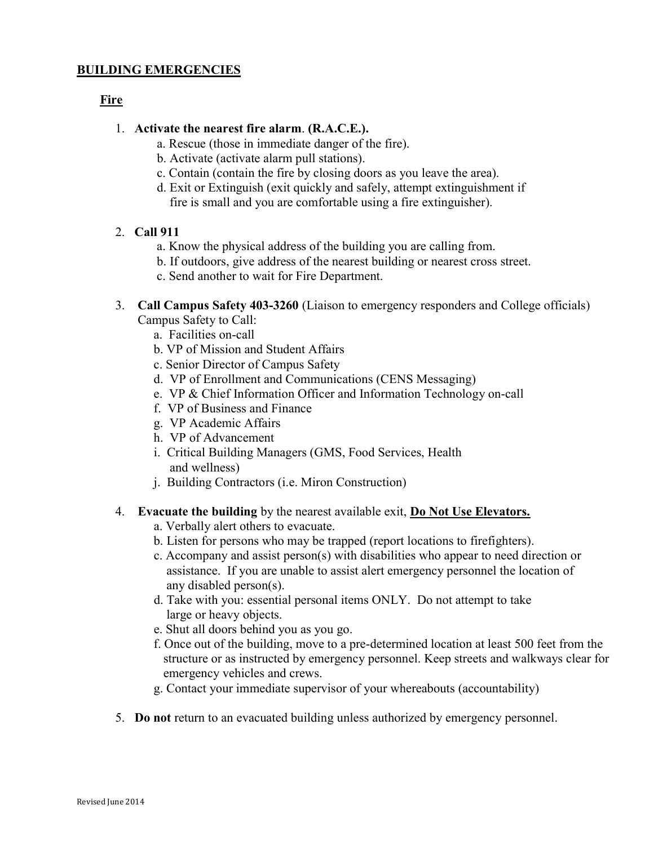# <span id="page-19-0"></span>Fire

- 1. Activate the nearest fire alarm. (R.A.C.E.).
	- a. Rescue (those in immediate danger of the fire).
	- b. Activate (activate alarm pull stations).
	- c. Contain (contain the fire by closing doors as you leave the area).
	- d. Exit or Extinguish (exit quickly and safely, attempt extinguishment if fire is small and you are comfortable using a fire extinguisher).

# 2. Call 911

- a. Know the physical address of the building you are calling from.
- b. If outdoors, give address of the nearest building or nearest cross street.
- c. Send another to wait for Fire Department.
- 3. Call Campus Safety 403-3260 (Liaison to emergency responders and College officials) Campus Safety to Call:
	- a. Facilities on-call
	- b. VP of Mission and Student Affairs
	- c. Senior Director of Campus Safety
	- d. VP of Enrollment and Communications (CENS Messaging)
	- e. VP & Chief Information Officer and Information Technology on-call
	- f. VP of Business and Finance
	- g. VP Academic Affairs
	- h. VP of Advancement
	- i. Critical Building Managers (GMS, Food Services, Health and wellness)
	- j. Building Contractors (i.e. Miron Construction)

# 4. Evacuate the building by the nearest available exit, Do Not Use Elevators.

- a. Verbally alert others to evacuate.
- b. Listen for persons who may be trapped (report locations to firefighters).
- c. Accompany and assist person(s) with disabilities who appear to need direction or assistance. If you are unable to assist alert emergency personnel the location of any disabled person(s).
- d. Take with you: essential personal items ONLY. Do not attempt to take large or heavy objects.
- e. Shut all doors behind you as you go.
- f. Once out of the building, move to a pre-determined location at least 500 feet from the structure or as instructed by emergency personnel. Keep streets and walkways clear for emergency vehicles and crews.
- g. Contact your immediate supervisor of your whereabouts (accountability)
- 5. Do not return to an evacuated building unless authorized by emergency personnel.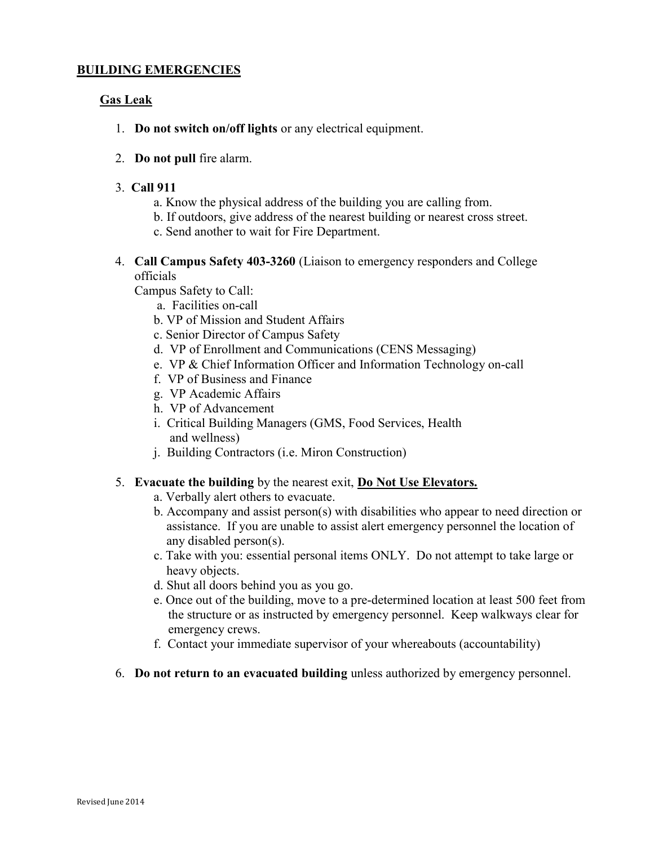# <span id="page-20-0"></span>Gas Leak

- 1. Do not switch on/off lights or any electrical equipment.
- 2. Do not pull fire alarm.
- 3. Call 911
	- a. Know the physical address of the building you are calling from.
	- b. If outdoors, give address of the nearest building or nearest cross street.
	- c. Send another to wait for Fire Department.
- 4. Call Campus Safety 403-3260 (Liaison to emergency responders and College officials

Campus Safety to Call:

- a. Facilities on-call
- b. VP of Mission and Student Affairs
- c. Senior Director of Campus Safety
- d. VP of Enrollment and Communications (CENS Messaging)
- e. VP & Chief Information Officer and Information Technology on-call
- f. VP of Business and Finance
- g. VP Academic Affairs
- h. VP of Advancement
- i. Critical Building Managers (GMS, Food Services, Health and wellness)
- j. Building Contractors (i.e. Miron Construction)

# 5. Evacuate the building by the nearest exit, Do Not Use Elevators.

- a. Verbally alert others to evacuate.
- b. Accompany and assist person(s) with disabilities who appear to need direction or assistance. If you are unable to assist alert emergency personnel the location of any disabled person(s).
- c. Take with you: essential personal items ONLY. Do not attempt to take large or heavy objects.
- d. Shut all doors behind you as you go.
- e. Once out of the building, move to a pre-determined location at least 500 feet from the structure or as instructed by emergency personnel. Keep walkways clear for emergency crews.
- f. Contact your immediate supervisor of your whereabouts (accountability)
- 6. Do not return to an evacuated building unless authorized by emergency personnel.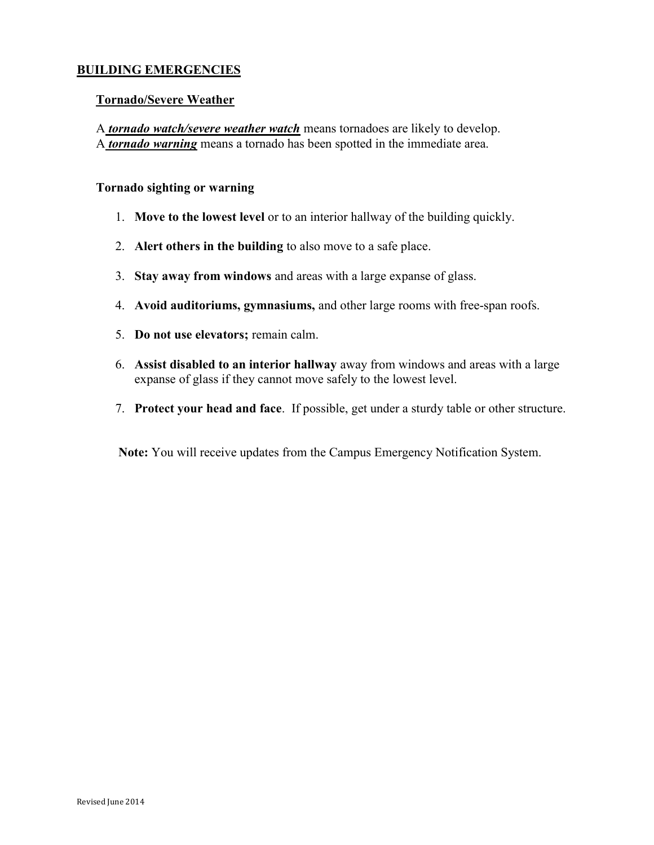### <span id="page-21-0"></span>Tornado/Severe Weather

A **tornado watch/severe weather watch** means tornadoes are likely to develop. A *tornado warning* means a tornado has been spotted in the immediate area.

### Tornado sighting or warning

- 1. Move to the lowest level or to an interior hallway of the building quickly.
- 2. Alert others in the building to also move to a safe place.
- 3. Stay away from windows and areas with a large expanse of glass.
- 4. Avoid auditoriums, gymnasiums, and other large rooms with free-span roofs.
- 5. Do not use elevators; remain calm.
- 6. Assist disabled to an interior hallway away from windows and areas with a large expanse of glass if they cannot move safely to the lowest level.
- 7. Protect your head and face. If possible, get under a sturdy table or other structure.

Note: You will receive updates from the Campus Emergency Notification System.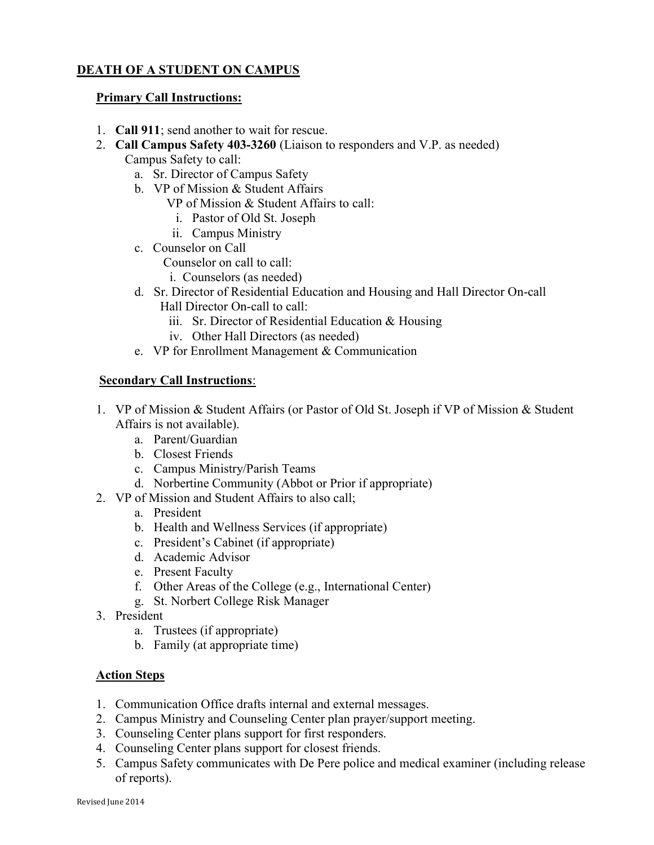# <span id="page-22-0"></span>DEATH OF A STUDENT ON CAMPUS

# Primary Call Instructions:

- 1. Call 911; send another to wait for rescue.
- 2. Call Campus Safety 403-3260 (Liaison to responders and V.P. as needed) Campus Safety to call:
	- a. Sr. Director of Campus Safety
	- b. VP of Mission & Student Affairs
		- VP of Mission & Student Affairs to call:
			- i. Pastor of Old St. Joseph
		- ii. Campus Ministry
	- c. Counselor on Call
		- Counselor on call to call:
		- i. Counselors (as needed)
	- d. Sr. Director of Residential Education and Housing and Hall Director On-call Hall Director On-call to call:
		- iii. Sr. Director of Residential Education & Housing
		- iv. Other Hall Directors (as needed)
	- e. VP for Enrollment Management & Communication

# Secondary Call Instructions:

- 1. VP of Mission & Student Affairs (or Pastor of Old St. Joseph if VP of Mission & Student Affairs is not available).
	- a. Parent/Guardian
	- b. Closest Friends
	- c. Campus Ministry/Parish Teams
	- d. Norbertine Community (Abbot or Prior if appropriate)
- 2. VP of Mission and Student Affairs to also call;
	- a. President
	- b. Health and Wellness Services (if appropriate)
	- c. President's Cabinet (if appropriate)
	- d. Academic Advisor
	- e. Present Faculty
	- f. Other Areas of the College (e.g., International Center)
	- g. St. Norbert College Risk Manager
- 3. President
	- a. Trustees (if appropriate)
	- b. Family (at appropriate time)

# Action Steps

- 1. Communication Office drafts internal and external messages.
- 2. Campus Ministry and Counseling Center plan prayer/support meeting.
- 3. Counseling Center plans support for first responders.
- 4. Counseling Center plans support for closest friends.
- 5. Campus Safety communicates with De Pere police and medical examiner (including release of reports).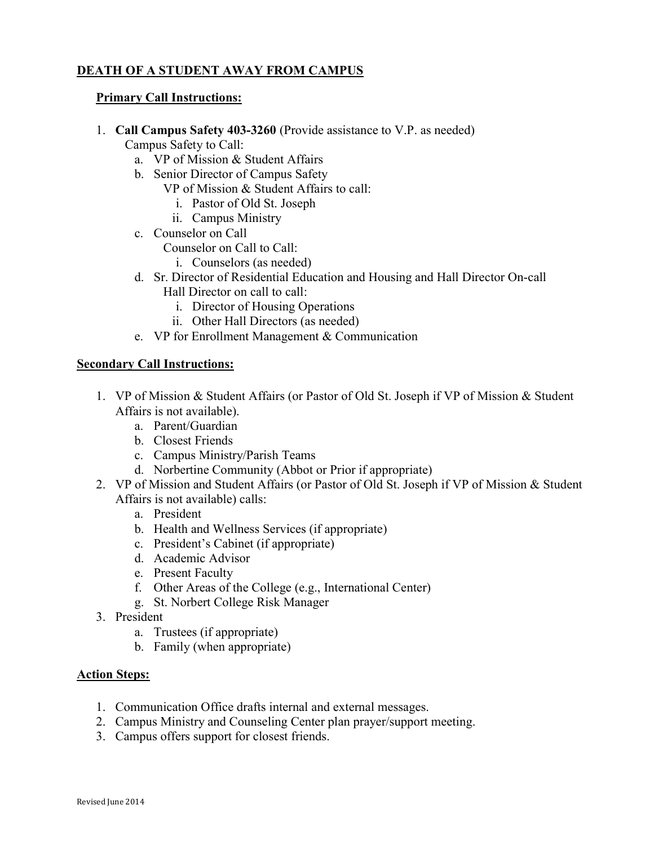# <span id="page-23-0"></span>DEATH OF A STUDENT AWAY FROM CAMPUS

# Primary Call Instructions:

1. Call Campus Safety 403-3260 (Provide assistance to V.P. as needed)

Campus Safety to Call:

- a. VP of Mission & Student Affairs
- b. Senior Director of Campus Safety
	- VP of Mission & Student Affairs to call:
		- i. Pastor of Old St. Joseph
		- ii. Campus Ministry
- c. Counselor on Call

Counselor on Call to Call:

- i. Counselors (as needed)
- d. Sr. Director of Residential Education and Housing and Hall Director On-call Hall Director on call to call:
	- i. Director of Housing Operations
	- ii. Other Hall Directors (as needed)
- e. VP for Enrollment Management & Communication

# Secondary Call Instructions:

- 1. VP of Mission & Student Affairs (or Pastor of Old St. Joseph if VP of Mission & Student Affairs is not available).
	- a. Parent/Guardian
	- b. Closest Friends
	- c. Campus Ministry/Parish Teams
	- d. Norbertine Community (Abbot or Prior if appropriate)
- 2. VP of Mission and Student Affairs (or Pastor of Old St. Joseph if VP of Mission & Student Affairs is not available) calls:
	- a. President
	- b. Health and Wellness Services (if appropriate)
	- c. President's Cabinet (if appropriate)
	- d. Academic Advisor
	- e. Present Faculty
	- f. Other Areas of the College (e.g., International Center)
	- g. St. Norbert College Risk Manager
- 3. President
	- a. Trustees (if appropriate)
	- b. Family (when appropriate)

# Action Steps:

- 1. Communication Office drafts internal and external messages.
- 2. Campus Ministry and Counseling Center plan prayer/support meeting.
- 3. Campus offers support for closest friends.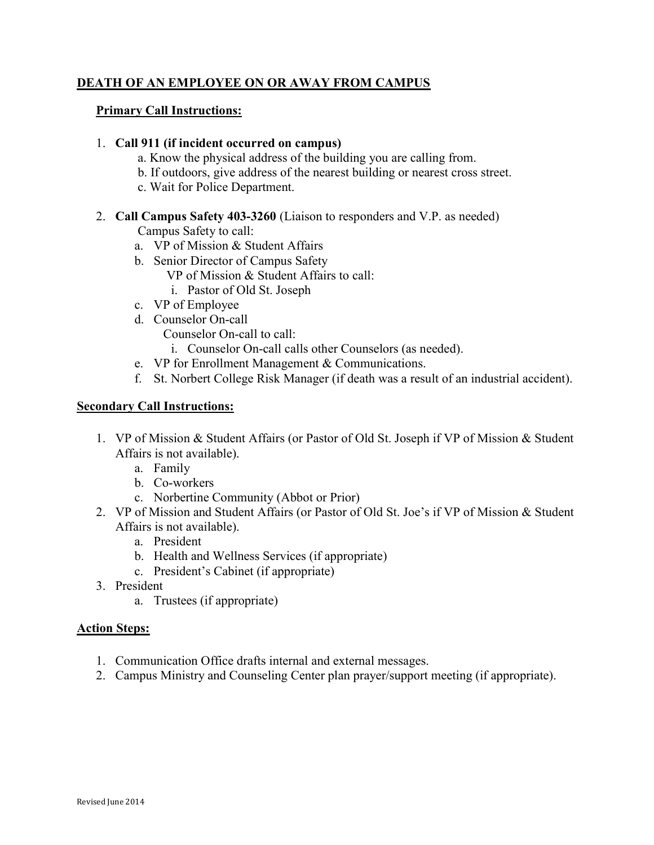# <span id="page-24-0"></span>DEATH OF AN EMPLOYEE ON OR AWAY FROM CAMPUS

# Primary Call Instructions:

### 1. Call 911 (if incident occurred on campus)

- a. Know the physical address of the building you are calling from.
- b. If outdoors, give address of the nearest building or nearest cross street.
- c. Wait for Police Department.
- 2. Call Campus Safety 403-3260 (Liaison to responders and V.P. as needed) Campus Safety to call:
	- a. VP of Mission & Student Affairs
	- b. Senior Director of Campus Safety
		- VP of Mission & Student Affairs to call:
		- i. Pastor of Old St. Joseph
	- c. VP of Employee
	- d. Counselor On-call
		- Counselor On-call to call:
			- i. Counselor On-call calls other Counselors (as needed).
	- e. VP for Enrollment Management & Communications.
	- f. St. Norbert College Risk Manager (if death was a result of an industrial accident).

# Secondary Call Instructions:

- 1. VP of Mission & Student Affairs (or Pastor of Old St. Joseph if VP of Mission & Student Affairs is not available).
	- a. Family
	- b. Co-workers
	- c. Norbertine Community (Abbot or Prior)
- 2. VP of Mission and Student Affairs (or Pastor of Old St. Joe's if VP of Mission & Student Affairs is not available).
	- a. President
	- b. Health and Wellness Services (if appropriate)
	- c. President's Cabinet (if appropriate)
- 3. President
	- a. Trustees (if appropriate)

# Action Steps:

- 1. Communication Office drafts internal and external messages.
- 2. Campus Ministry and Counseling Center plan prayer/support meeting (if appropriate).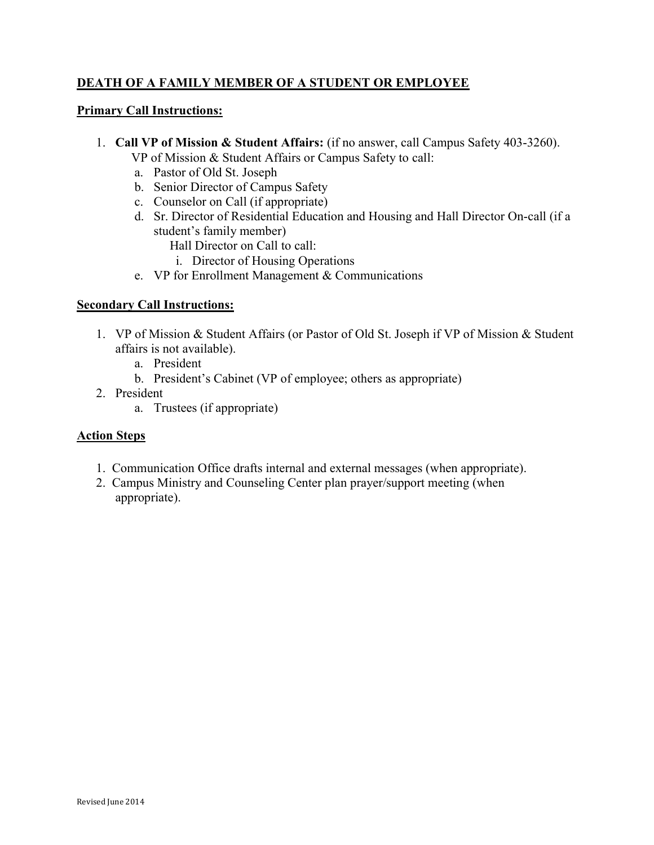# <span id="page-25-0"></span>DEATH OF A FAMILY MEMBER OF A STUDENT OR EMPLOYEE

# Primary Call Instructions:

- 1. Call VP of Mission & Student Affairs: (if no answer, call Campus Safety 403-3260).
	- VP of Mission & Student Affairs or Campus Safety to call:
	- a. Pastor of Old St. Joseph
	- b. Senior Director of Campus Safety
	- c. Counselor on Call (if appropriate)
	- d. Sr. Director of Residential Education and Housing and Hall Director On-call (if a student's family member)
		- Hall Director on Call to call:
		- i. Director of Housing Operations
	- e. VP for Enrollment Management & Communications

# Secondary Call Instructions:

- 1. VP of Mission & Student Affairs (or Pastor of Old St. Joseph if VP of Mission & Student affairs is not available).
	- a. President
	- b. President's Cabinet (VP of employee; others as appropriate)
- 2. President
	- a. Trustees (if appropriate)

# Action Steps

- 1. Communication Office drafts internal and external messages (when appropriate).
- 2. Campus Ministry and Counseling Center plan prayer/support meeting (when appropriate).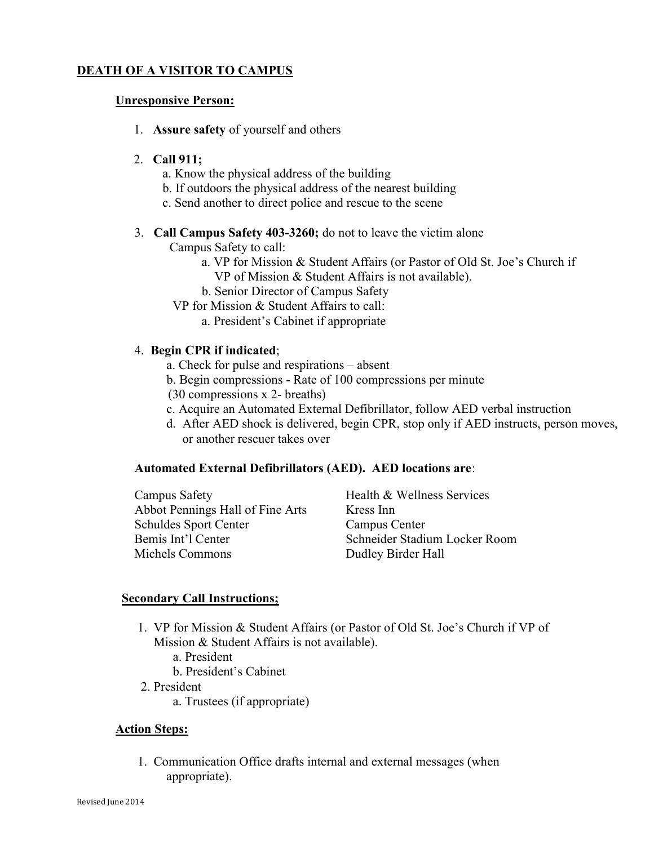# <span id="page-26-0"></span>DEATH OF A VISITOR TO CAMPUS

#### Unresponsive Person:

1. Assure safety of yourself and others

#### 2. Call 911;

- a. Know the physical address of the building
- b. If outdoors the physical address of the nearest building
- c. Send another to direct police and rescue to the scene
- 3. Call Campus Safety 403-3260; do not to leave the victim alone

Campus Safety to call:

- a. VP for Mission & Student Affairs (or Pastor of Old St. Joe's Church if VP of Mission & Student Affairs is not available).
- b. Senior Director of Campus Safety
- VP for Mission & Student Affairs to call:
	- a. President's Cabinet if appropriate

#### 4. Begin CPR if indicated;

- a. Check for pulse and respirations absent
- b. Begin compressions Rate of 100 compressions per minute
- (30 compressions x 2- breaths)
- c. Acquire an Automated External Defibrillator, follow AED verbal instruction
- d. After AED shock is delivered, begin CPR, stop only if AED instructs, person moves, or another rescuer takes over

#### Automated External Defibrillators (AED). AED locations are:

Campus Safety **Health & Wellness Services** Abbot Pennings Hall of Fine Arts Kress Inn Schuldes Sport Center Campus Center Bemis Int'l Center Schneider Stadium Locker Room Michels Commons Dudley Birder Hall

#### Secondary Call Instructions;

- 1. VP for Mission & Student Affairs (or Pastor of Old St. Joe's Church if VP of Mission & Student Affairs is not available).
	- a. President
	- b. President's Cabinet
- 2. President
	- a. Trustees (if appropriate)

#### Action Steps:

 1. Communication Office drafts internal and external messages (when appropriate).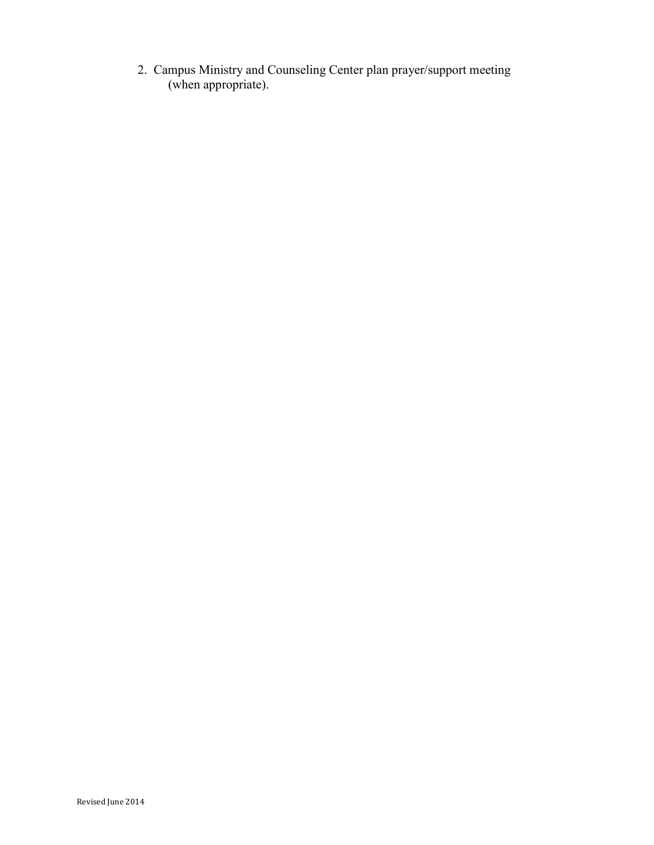2. Campus Ministry and Counseling Center plan prayer/support meeting (when appropriate).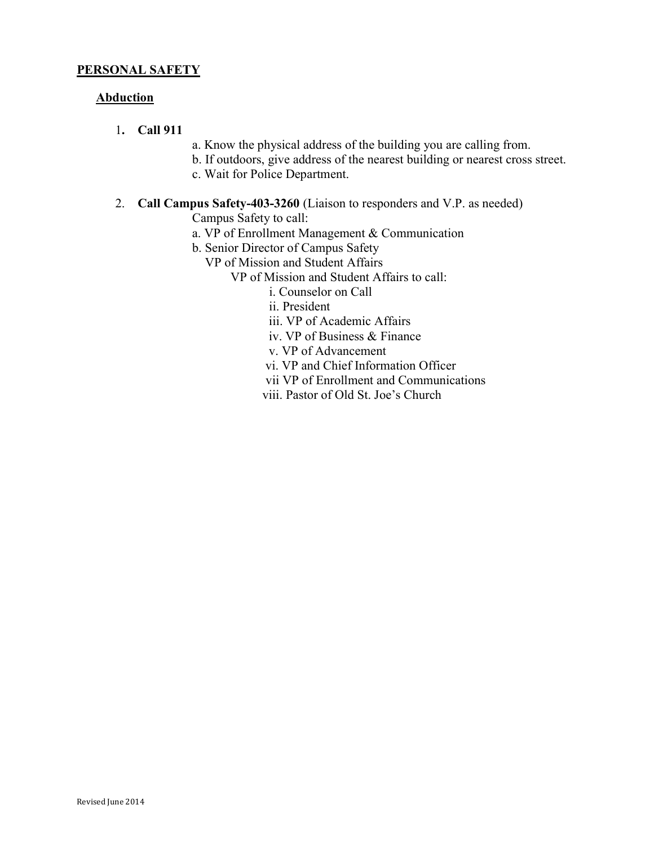# <span id="page-28-0"></span>**Abduction**

- 1. Call 911
- a. Know the physical address of the building you are calling from.
- b. If outdoors, give address of the nearest building or nearest cross street.
- c. Wait for Police Department.
- 2. Call Campus Safety-403-3260 (Liaison to responders and V.P. as needed) Campus Safety to call:
	- a. VP of Enrollment Management & Communication
	- b. Senior Director of Campus Safety

VP of Mission and Student Affairs

- VP of Mission and Student Affairs to call:
	- i. Counselor on Call
	- ii. President
	- iii. VP of Academic Affairs
	- iv. VP of Business & Finance
	- v. VP of Advancement
	- vi. VP and Chief Information Officer
	- vii VP of Enrollment and Communications
	- viii. Pastor of Old St. Joe's Church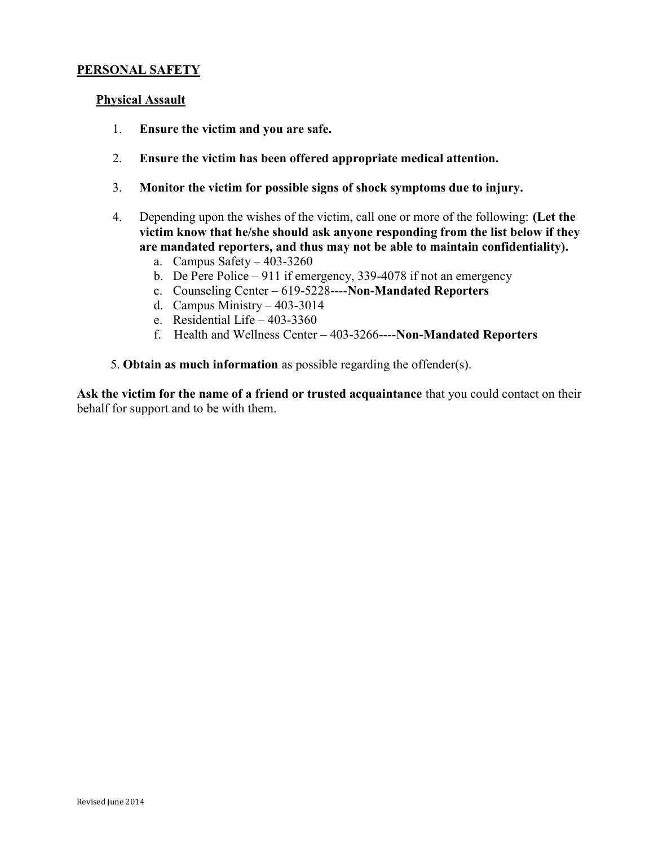#### <span id="page-29-0"></span>Physical Assault

- 1. Ensure the victim and you are safe.
- 2. Ensure the victim has been offered appropriate medical attention.
- 3. Monitor the victim for possible signs of shock symptoms due to injury.
- 4. Depending upon the wishes of the victim, call one or more of the following: (Let the victim know that he/she should ask anyone responding from the list below if they are mandated reporters, and thus may not be able to maintain confidentiality).
	- a. Campus Safety  $-403-3260$
	- b. De Pere Police 911 if emergency, 339-4078 if not an emergency
	- c. Counseling Center 619-5228----Non-Mandated Reporters
	- d. Campus Ministry 403-3014
	- e. Residential Life 403-3360
	- f. Health and Wellness Center 403-3266----Non-Mandated Reporters
- 5. Obtain as much information as possible regarding the offender(s).

Ask the victim for the name of a friend or trusted acquaintance that you could contact on their behalf for support and to be with them.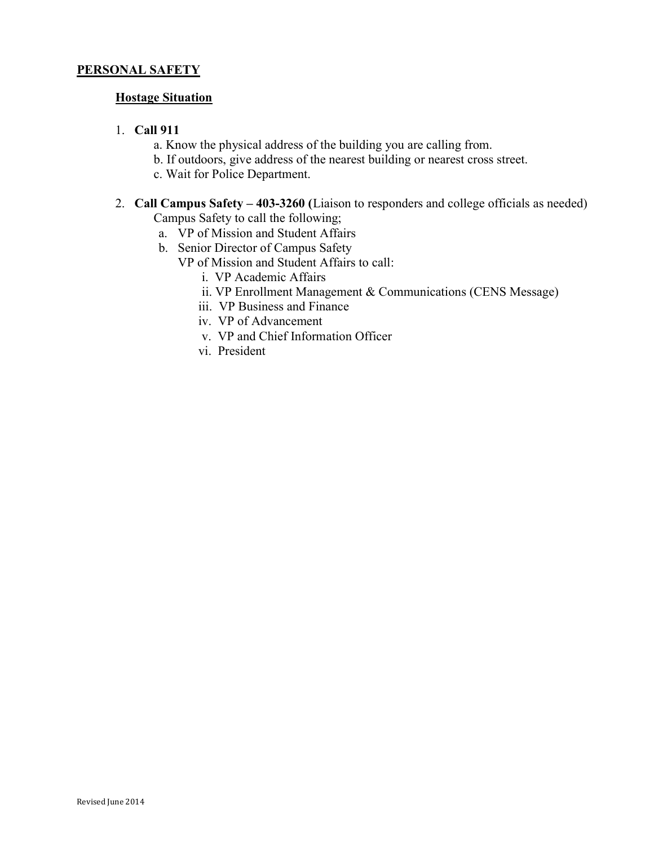# <span id="page-30-0"></span>**Hostage Situation**

# 1. Call 911

- a. Know the physical address of the building you are calling from.
- b. If outdoors, give address of the nearest building or nearest cross street.
- c. Wait for Police Department.
- 2. Call Campus Safety 403-3260 (Liaison to responders and college officials as needed) Campus Safety to call the following;
	- a. VP of Mission and Student Affairs
	- b. Senior Director of Campus Safety
		- VP of Mission and Student Affairs to call:
			- i. VP Academic Affairs
			- ii. VP Enrollment Management & Communications (CENS Message)
			- iii. VP Business and Finance
			- iv. VP of Advancement
			- v. VP and Chief Information Officer
			- vi. President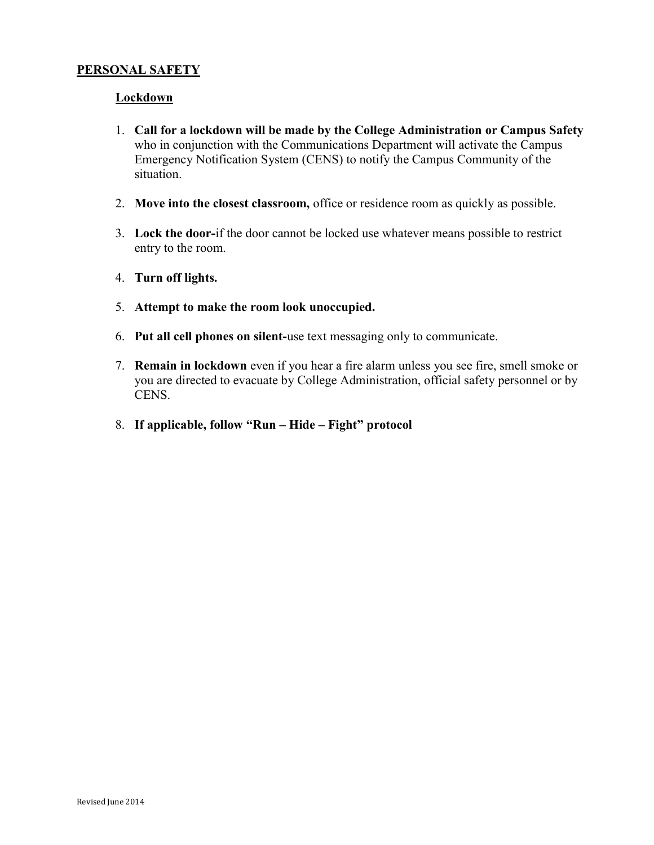### <span id="page-31-0"></span>Lockdown

- 1. Call for a lockdown will be made by the College Administration or Campus Safety who in conjunction with the Communications Department will activate the Campus Emergency Notification System (CENS) to notify the Campus Community of the situation.
- 2. Move into the closest classroom, office or residence room as quickly as possible.
- 3. Lock the door-if the door cannot be locked use whatever means possible to restrict entry to the room.
- 4. Turn off lights.
- 5. Attempt to make the room look unoccupied.
- 6. Put all cell phones on silent-use text messaging only to communicate.
- 7. Remain in lockdown even if you hear a fire alarm unless you see fire, smell smoke or you are directed to evacuate by College Administration, official safety personnel or by CENS.
- 8. If applicable, follow "Run Hide Fight" protocol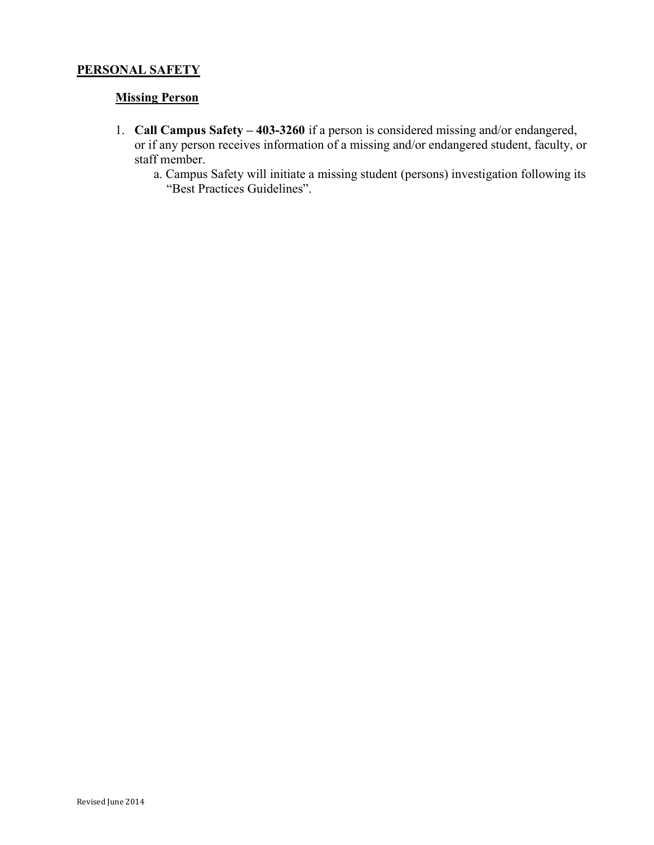# <span id="page-32-0"></span>**Missing Person**

- 1. Call Campus Safety 403-3260 if a person is considered missing and/or endangered, or if any person receives information of a missing and/or endangered student, faculty, or staff member.
	- a. Campus Safety will initiate a missing student (persons) investigation following its "Best Practices Guidelines".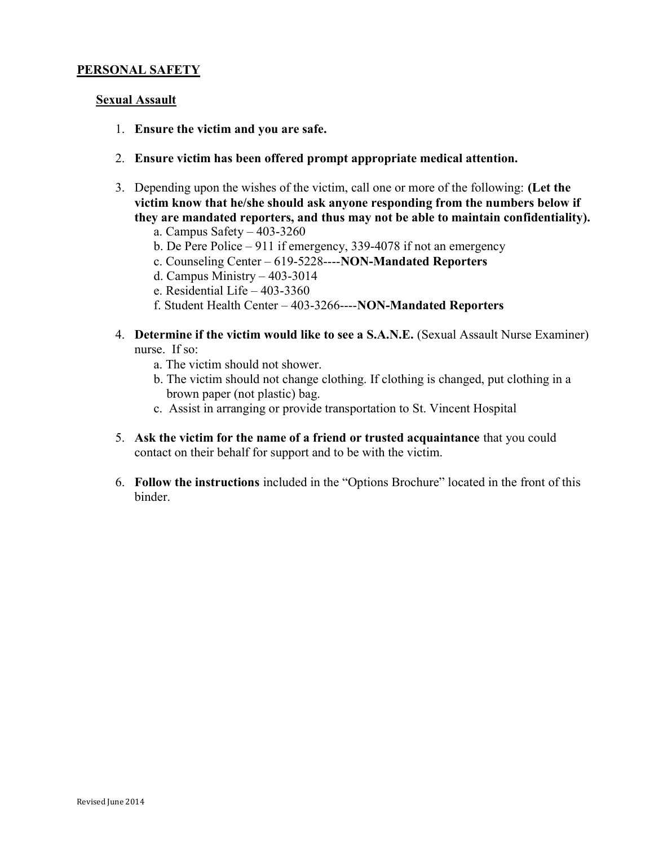# <span id="page-33-0"></span>**Sexual Assault**

- 1. Ensure the victim and you are safe.
- 2. Ensure victim has been offered prompt appropriate medical attention.
- 3. Depending upon the wishes of the victim, call one or more of the following: (Let the victim know that he/she should ask anyone responding from the numbers below if they are mandated reporters, and thus may not be able to maintain confidentiality).
	- a. Campus Safety 403-3260
	- b. De Pere Police 911 if emergency, 339-4078 if not an emergency
	- c. Counseling Center 619-5228----NON-Mandated Reporters
	- d. Campus Ministry 403-3014
	- e. Residential Life 403-3360
	- f. Student Health Center 403-3266----NON-Mandated Reporters
- 4. Determine if the victim would like to see a S.A.N.E. (Sexual Assault Nurse Examiner) nurse. If so:
	- a. The victim should not shower.
	- b. The victim should not change clothing. If clothing is changed, put clothing in a brown paper (not plastic) bag.
	- c. Assist in arranging or provide transportation to St. Vincent Hospital
- 5. Ask the victim for the name of a friend or trusted acquaintance that you could contact on their behalf for support and to be with the victim.
- 6. Follow the instructions included in the "Options Brochure" located in the front of this binder.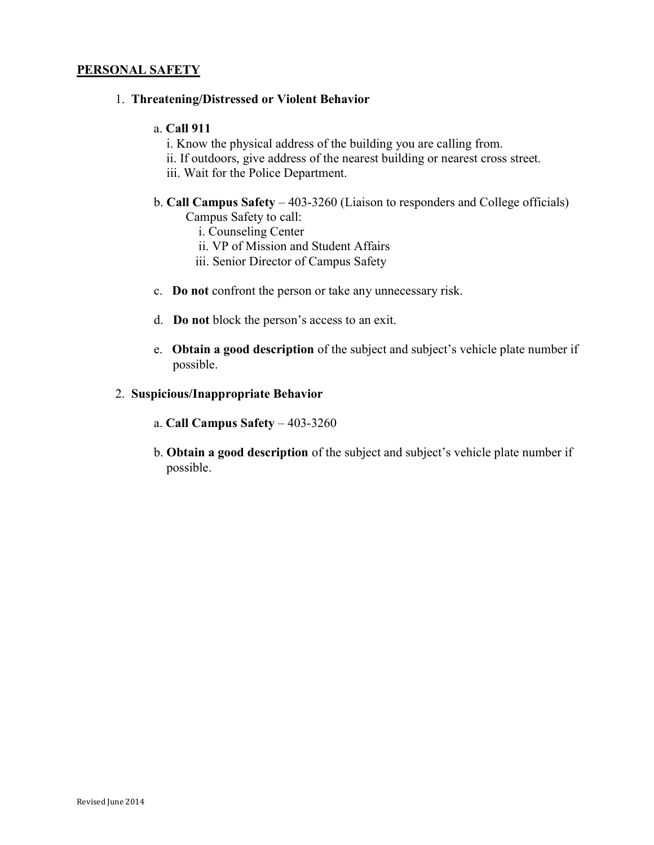#### <span id="page-34-0"></span>1. Threatening/Distressed or Violent Behavior

#### a. Call 911

- i. Know the physical address of the building you are calling from.
- ii. If outdoors, give address of the nearest building or nearest cross street.
- iii. Wait for the Police Department.
- b. Call Campus Safety 403-3260 (Liaison to responders and College officials) Campus Safety to call:
	- i. Counseling Center
	- ii. VP of Mission and Student Affairs
	- iii. Senior Director of Campus Safety
- c. Do not confront the person or take any unnecessary risk.
- d. Do not block the person's access to an exit.
- e. Obtain a good description of the subject and subject's vehicle plate number if possible.

# 2. Suspicious/Inappropriate Behavior

- a. Call Campus Safety 403-3260
- b. Obtain a good description of the subject and subject's vehicle plate number if possible.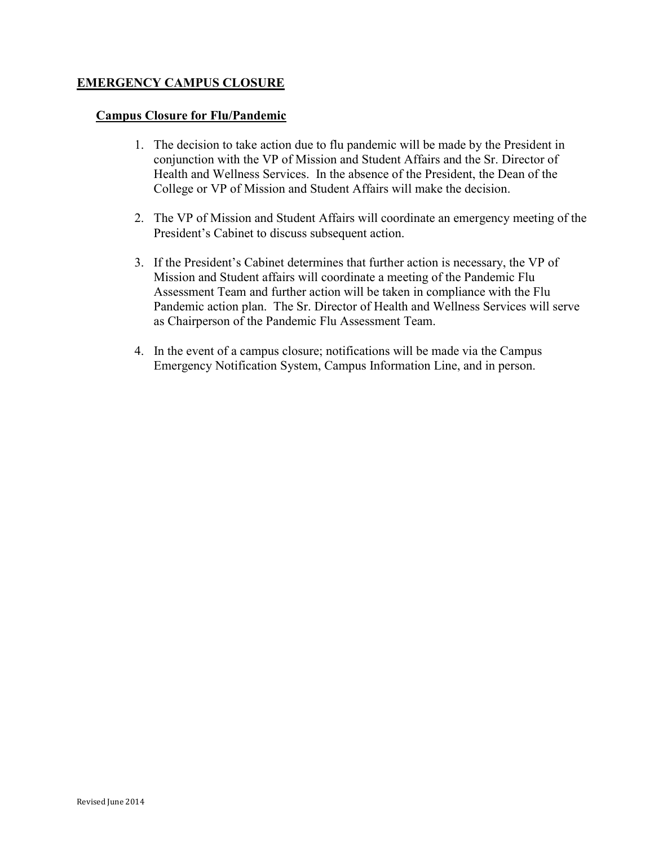# <span id="page-35-0"></span>EMERGENCY CAMPUS CLOSURE

#### Campus Closure for Flu/Pandemic

- 1. The decision to take action due to flu pandemic will be made by the President in conjunction with the VP of Mission and Student Affairs and the Sr. Director of Health and Wellness Services. In the absence of the President, the Dean of the College or VP of Mission and Student Affairs will make the decision.
- 2. The VP of Mission and Student Affairs will coordinate an emergency meeting of the President's Cabinet to discuss subsequent action.
- 3. If the President's Cabinet determines that further action is necessary, the VP of Mission and Student affairs will coordinate a meeting of the Pandemic Flu Assessment Team and further action will be taken in compliance with the Flu Pandemic action plan. The Sr. Director of Health and Wellness Services will serve as Chairperson of the Pandemic Flu Assessment Team.
- 4. In the event of a campus closure; notifications will be made via the Campus Emergency Notification System, Campus Information Line, and in person.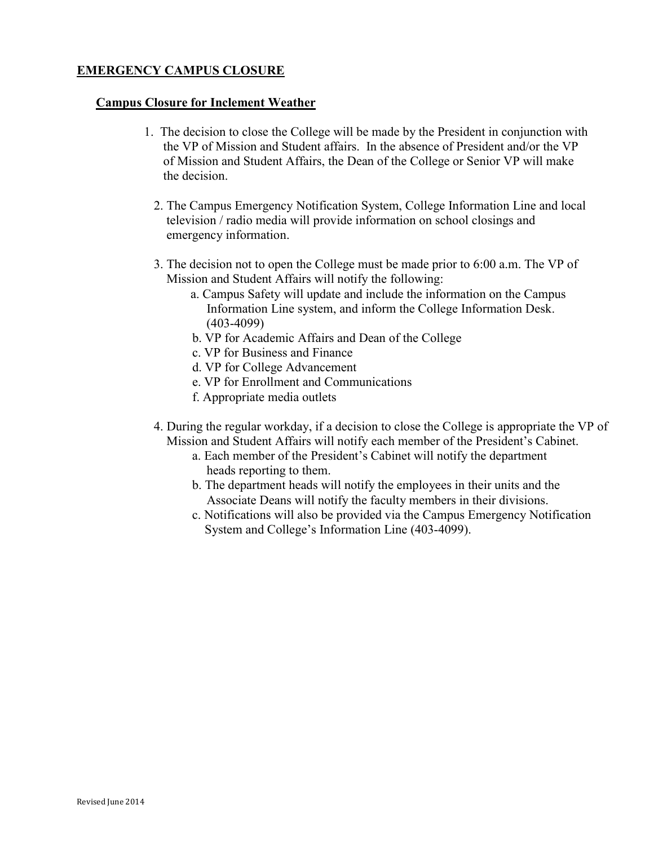# <span id="page-36-0"></span>EMERGENCY CAMPUS CLOSURE

# Campus Closure for Inclement Weather

- 1. The decision to close the College will be made by the President in conjunction with the VP of Mission and Student affairs. In the absence of President and/or the VP of Mission and Student Affairs, the Dean of the College or Senior VP will make the decision.
	- 2. The Campus Emergency Notification System, College Information Line and local television / radio media will provide information on school closings and emergency information.
	- 3. The decision not to open the College must be made prior to 6:00 a.m. The VP of Mission and Student Affairs will notify the following:
		- a. Campus Safety will update and include the information on the Campus Information Line system, and inform the College Information Desk. (403-4099)
		- b. VP for Academic Affairs and Dean of the College
		- c. VP for Business and Finance
		- d. VP for College Advancement
		- e. VP for Enrollment and Communications
		- f. Appropriate media outlets
	- 4. During the regular workday, if a decision to close the College is appropriate the VP of Mission and Student Affairs will notify each member of the President's Cabinet.
		- a. Each member of the President's Cabinet will notify the department heads reporting to them.
		- b. The department heads will notify the employees in their units and the Associate Deans will notify the faculty members in their divisions.
		- c. Notifications will also be provided via the Campus Emergency Notification System and College's Information Line (403-4099).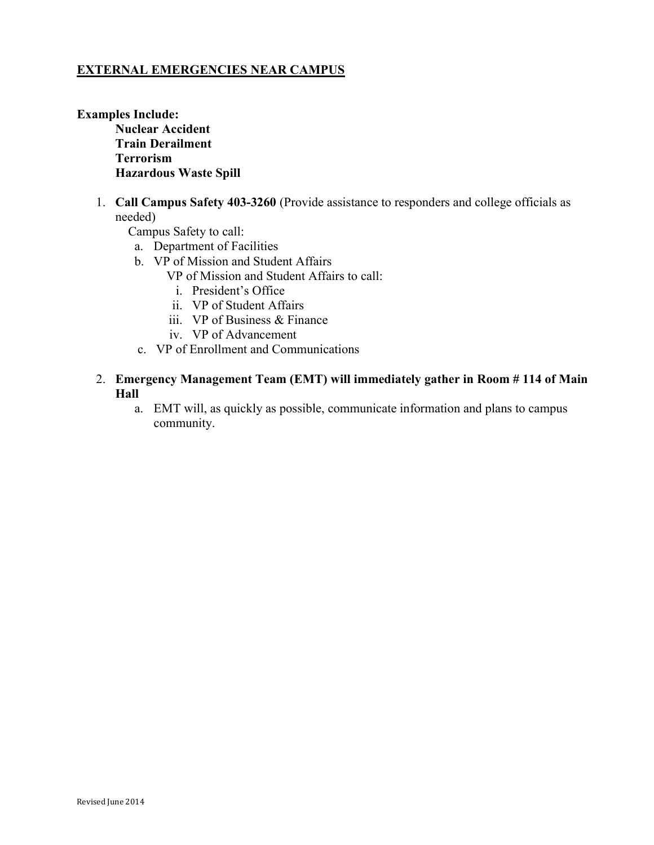# <span id="page-37-0"></span>EXTERNAL EMERGENCIES NEAR CAMPUS

Examples Include: Nuclear Accident Train Derailment Terrorism Hazardous Waste Spill

> 1. Call Campus Safety 403-3260 (Provide assistance to responders and college officials as needed)

Campus Safety to call:

- a. Department of Facilities
- b. VP of Mission and Student Affairs
	- VP of Mission and Student Affairs to call:
		- i. President's Office
		- ii. VP of Student Affairs
	- iii. VP of Business & Finance
	- iv. VP of Advancement
- c. VP of Enrollment and Communications
- 2. Emergency Management Team (EMT) will immediately gather in Room # 114 of Main Hall
	- a. EMT will, as quickly as possible, communicate information and plans to campus community.